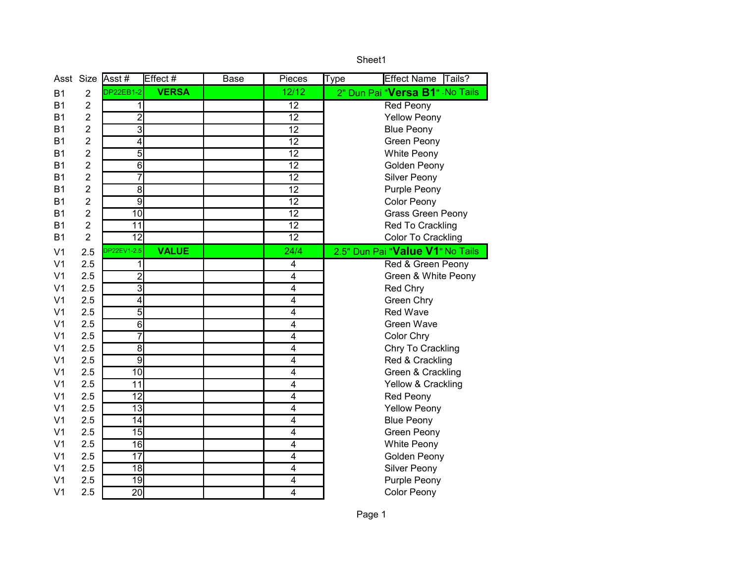|                | Asst Size      | Asst#                   | Effect #     | Base | Pieces                  | <b>Effect Name</b><br>Tails?<br><b>Type</b> |
|----------------|----------------|-------------------------|--------------|------|-------------------------|---------------------------------------------|
| <b>B1</b>      | $\overline{2}$ | <b>DP22EB1-2</b>        | <b>VERSA</b> |      | 12/12                   | 2" Dun Pai "Versa B1" No Tails              |
| <b>B1</b>      | $\overline{2}$ | 1                       |              |      | 12                      | Red Peony                                   |
| <b>B1</b>      | $\overline{2}$ | $\overline{2}$          |              |      | 12                      | <b>Yellow Peony</b>                         |
| <b>B1</b>      | $\overline{2}$ | 3                       |              |      | 12                      | <b>Blue Peony</b>                           |
| <b>B1</b>      | $\overline{2}$ | $\overline{4}$          |              |      | 12                      | <b>Green Peony</b>                          |
| B1             | 2              | 5                       |              |      | 12                      | White Peony                                 |
| <b>B1</b>      | 2              | $\overline{6}$          |              |      | $\overline{12}$         | Golden Peony                                |
| <b>B1</b>      | $\overline{2}$ | $\overline{7}$          |              |      | 12                      | Silver Peony                                |
| <b>B1</b>      | $\overline{2}$ | $\overline{8}$          |              |      | $\overline{12}$         | Purple Peony                                |
| <b>B1</b>      | $\overline{2}$ | $\overline{9}$          |              |      | 12                      | Color Peony                                 |
| <b>B1</b>      | $\overline{2}$ | 10                      |              |      | 12                      | Grass Green Peony                           |
| <b>B1</b>      | $\overline{2}$ | $\overline{11}$         |              |      | $\overline{12}$         | Red To Crackling                            |
| <b>B1</b>      | $\overline{2}$ | 12                      |              |      | 12                      | Color To Crackling                          |
| V <sub>1</sub> | 2.5            | DP22EV1-2.5             | <b>VALUE</b> |      | 24/4                    | 2.5" Dun Pai "Value V1" No Tails            |
| V <sub>1</sub> | 2.5            | 1                       |              |      | 4                       | Red & Green Peony                           |
| V <sub>1</sub> | 2.5            | $\overline{2}$          |              |      | $\overline{4}$          | Green & White Peony                         |
| V <sub>1</sub> | 2.5            | 3                       |              |      | 4                       | Red Chry                                    |
| V <sub>1</sub> | 2.5            | $\overline{\mathbf{4}}$ |              |      | $\overline{4}$          | Green Chry                                  |
| V <sub>1</sub> | 2.5            | $\overline{5}$          |              |      | 4                       | <b>Red Wave</b>                             |
| V <sub>1</sub> | 2.5            | 6                       |              |      | 4                       | <b>Green Wave</b>                           |
| V <sub>1</sub> | 2.5            | $\overline{7}$          |              |      | $\overline{4}$          | Color Chry                                  |
| V <sub>1</sub> | 2.5            | 8                       |              |      | 4                       | Chry To Crackling                           |
| V <sub>1</sub> | 2.5            | $\overline{9}$          |              |      | 4                       | Red & Crackling                             |
| V <sub>1</sub> | 2.5            | 10                      |              |      | 4                       | Green & Crackling                           |
| V <sub>1</sub> | 2.5            | $\overline{11}$         |              |      | $\overline{4}$          | Yellow & Crackling                          |
| V <sub>1</sub> | 2.5            | 12                      |              |      | 4                       | Red Peony                                   |
| V <sub>1</sub> | 2.5            | 13                      |              |      | $\overline{\mathbf{4}}$ | <b>Yellow Peony</b>                         |
| V <sub>1</sub> | 2.5            | 14                      |              |      | $\overline{\mathbf{4}}$ | <b>Blue Peony</b>                           |
| V <sub>1</sub> | 2.5            | 15                      |              |      | 4                       | Green Peony                                 |
| V <sub>1</sub> | 2.5            | 16                      |              |      | $\overline{4}$          | White Peony                                 |
| V <sub>1</sub> | 2.5            | $\overline{17}$         |              |      | 4                       | Golden Peony                                |
| V <sub>1</sub> | 2.5            | 18                      |              |      | 4                       | Silver Peony                                |
| V <sub>1</sub> | 2.5            | 19                      |              |      | 4                       | Purple Peony                                |
| V <sub>1</sub> | 2.5            | 20                      |              |      | $\overline{4}$          | <b>Color Peony</b>                          |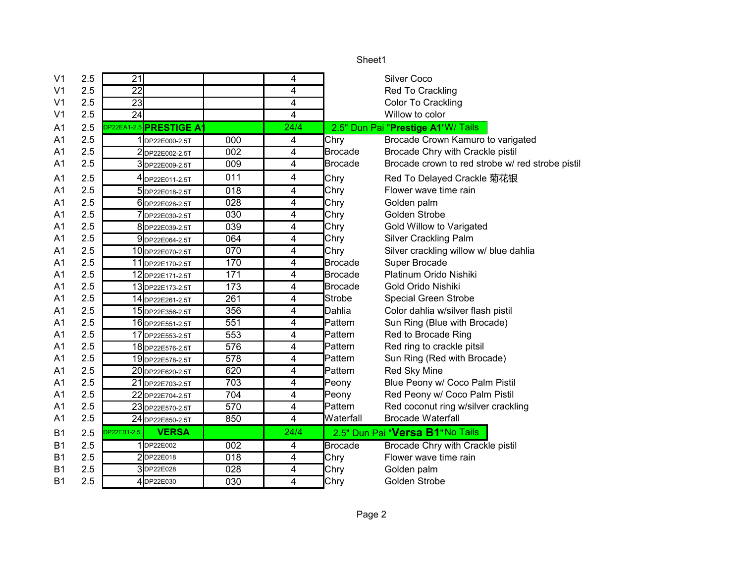| V <sub>1</sub> | 2.5 | 21              |                                |     | 4    |                | <b>Silver Coco</b>                               |
|----------------|-----|-----------------|--------------------------------|-----|------|----------------|--------------------------------------------------|
| V <sub>1</sub> | 2.5 | 22              |                                |     | 4    |                | Red To Crackling                                 |
| V <sub>1</sub> | 2.5 | 23              |                                |     | 4    |                | Color To Crackling                               |
| V1             | 2.5 | $\overline{24}$ |                                |     | 4    |                | Willow to color                                  |
| A1             | 2.5 |                 | <b>DP22EA1-2.5 PRESTIGE A1</b> |     | 24/4 |                | 2.5" Dun Pai "Prestige A1'W/ Tails               |
| A1             | 2.5 |                 | 1 DP22E000-2.5T                | 000 | 4    | Chry           | Brocade Crown Kamuro to varigated                |
| A1             | 2.5 |                 | 2DP22E002-2.5T                 | 002 | 4    | <b>Brocade</b> | Brocade Chry with Crackle pistil                 |
| A1             | 2.5 |                 | 3DP22E009-2.5T                 | 009 | 4    | <b>Brocade</b> | Brocade crown to red strobe w/ red strobe pistil |
| A1             | 2.5 |                 | 4DP22E011-2.5T                 | 011 | 4    | Chry           | Red To Delayed Crackle 菊花银                       |
| A <sub>1</sub> | 2.5 |                 | 5DP22E018-2.5T                 | 018 | 4    | Chry           | Flower wave time rain                            |
| A1             | 2.5 |                 | 6 DP22E028-2.5T                | 028 | 4    | Chry           | Golden palm                                      |
| A1             | 2.5 |                 | 7DP22E030-2.5T                 | 030 | 4    | Chry           | Golden Strobe                                    |
| A1             | 2.5 |                 | 8DP22E039-2.5T                 | 039 | 4    | Chry           | Gold Willow to Varigated                         |
| A1             | 2.5 |                 | 9DP22E064-2.5T                 | 064 | 4    | Chry           | Silver Crackling Palm                            |
| A1             | 2.5 |                 | 10 DP22E070-2.5T               | 070 | 4    | Chry           | Silver crackling willow w/ blue dahlia           |
| A1             | 2.5 |                 | 11 DP22E170-2.5T               | 170 | 4    | <b>Brocade</b> | Super Brocade                                    |
| A1             | 2.5 |                 | 12 DP22E171-2.5T               | 171 | 4    | <b>Brocade</b> | Platinum Orido Nishiki                           |
| A1             | 2.5 |                 | 13 DP22E173-2.5T               | 173 | 4    | <b>Brocade</b> | Gold Orido Nishiki                               |
| A1             | 2.5 |                 | 14 DP22E261-2.5T               | 261 | 4    | Strobe         | <b>Special Green Strobe</b>                      |
| A1             | 2.5 |                 | 15 DP22E356-2.5T               | 356 | 4    | Dahlia         | Color dahlia w/silver flash pistil               |
| A1             | 2.5 |                 | 16 DP22E551-2.5T               | 551 | 4    | Pattern        | Sun Ring (Blue with Brocade)                     |
| A1             | 2.5 |                 | 17 DP22E553-2.5T               | 553 | 4    | Pattern        | Red to Brocade Ring                              |
| A1             | 2.5 |                 | 18 DP22E576-2.5T               | 576 | 4    | Pattern        | Red ring to crackle pitsil                       |
| A1             | 2.5 |                 | 19 DP22E578-2.5T               | 578 | 4    | Pattern        | Sun Ring (Red with Brocade)                      |
| A1             | 2.5 |                 | 20 DP22E620-2.5T               | 620 | 4    | Pattern        | Red Sky Mine                                     |
| A1             | 2.5 |                 | 21 DP22E703-2.5T               | 703 | 4    | Peony          | Blue Peony w/ Coco Palm Pistil                   |
| A1             | 2.5 |                 | 22 DP22E704-2.5T               | 704 | 4    | Peony          | Red Peony w/ Coco Palm Pistil                    |
| A1             | 2.5 |                 | 23 DP22E570-2.5T               | 570 | 4    | Pattern        | Red coconut ring w/silver crackling              |
| A1             | 2.5 |                 | 24 DP22E850-2.5T               | 850 | 4    | Waterfall      | <b>Brocade Waterfall</b>                         |
| B1             | 2.5 | DP22EB1-2.5     | <b>VERSA</b>                   |     | 24/4 |                | 2.5" Dun Pai "Versa B1" No Tails                 |
| B1             | 2.5 |                 | 1DP22E002                      | 002 | 4    | Brocade        | Brocade Chry with Crackle pistil                 |
| B1             | 2.5 |                 | 2DP22E018                      | 018 | 4    | Chry           | Flower wave time rain                            |
| B1             | 2.5 |                 | 3DP22E028                      | 028 | 4    | Chry           | Golden palm                                      |
| B1             | 2.5 |                 | 4 DP22E030                     | 030 | 4    | Chry           | Golden Strobe                                    |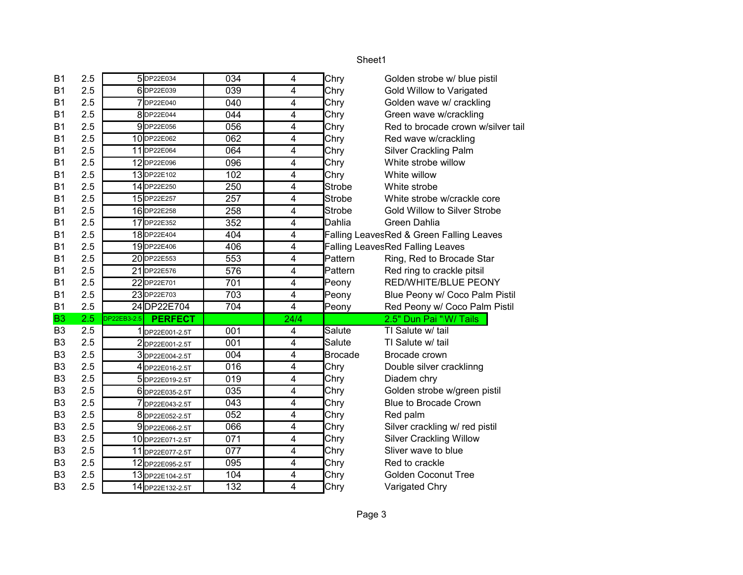| <b>B1</b>      | 2.5 |             | 5DP22E034        | 034 | 4                       | Chry           | Golden strobe w/ blue pistil             |
|----------------|-----|-------------|------------------|-----|-------------------------|----------------|------------------------------------------|
| <b>B1</b>      | 2.5 |             | 6DP22E039        | 039 | 4                       | Chry           | Gold Willow to Varigated                 |
| <b>B1</b>      | 2.5 |             | 7DP22E040        | 040 | 4                       | Chry           | Golden wave w/ crackling                 |
| <b>B1</b>      | 2.5 |             | 8DP22E044        | 044 | 4                       | Chry           | Green wave w/crackling                   |
| <b>B1</b>      | 2.5 |             | 9DP22E056        | 056 | 4                       | Chry           | Red to brocade crown w/silver tail       |
| <b>B1</b>      | 2.5 |             | 10DP22E062       | 062 | 4                       | Chry           | Red wave w/crackling                     |
| <b>B1</b>      | 2.5 |             | 11 DP22E064      | 064 | 4                       | Chry           | <b>Silver Crackling Palm</b>             |
| B1             | 2.5 |             | 12 DP22E096      | 096 | 4                       | Chry           | White strobe willow                      |
| <b>B1</b>      | 2.5 |             | 13DP22E102       | 102 | 4                       | Chry           | White willow                             |
| <b>B1</b>      | 2.5 |             | 14 DP22E250      | 250 | 4                       | <b>Strobe</b>  | White strobe                             |
| <b>B1</b>      | 2.5 |             | 15DP22E257       | 257 | 4                       | <b>Strobe</b>  | White strobe w/crackle core              |
| B1             | 2.5 |             | 16DP22E258       | 258 | 4                       | <b>Strobe</b>  | <b>Gold Willow to Silver Strobe</b>      |
| <b>B1</b>      | 2.5 |             | 17 DP22E352      | 352 | $\overline{\mathbf{4}}$ | Dahlia         | Green Dahlia                             |
| <b>B1</b>      | 2.5 |             | 18DP22E404       | 404 | 4                       |                | Falling LeavesRed & Green Falling Leaves |
| B1             | 2.5 |             | 19DP22E406       | 406 | 4                       |                | <b>Falling LeavesRed Falling Leaves</b>  |
| B1             | 2.5 |             | 20DP22E553       | 553 | 4                       | Pattern        | Ring, Red to Brocade Star                |
| B1             | 2.5 |             | 21 DP22E576      | 576 | 4                       | Pattern        | Red ring to crackle pitsil               |
| B1             | 2.5 |             | 22 DP22E701      | 701 | 4                       | Peony          | RED/WHITE/BLUE PEONY                     |
| <b>B1</b>      | 2.5 |             | 23DP22E703       | 703 | $\overline{4}$          | Peony          | Blue Peony w/ Coco Palm Pistil           |
| <b>B1</b>      | 2.5 |             | 24DP22E704       | 704 | $\overline{4}$          | Peony          | Red Peony w/ Coco Palm Pistil            |
| <b>B3</b>      | 2.5 | DP22EB3-2.5 | <b>PERFECT</b>   |     | 24/4                    |                | 2.5" Dun Pai "W/ Tails                   |
| B <sub>3</sub> | 2.5 |             | DP22E001-2.5T    | 001 | $\overline{4}$          | Salute         | TI Salute w/ tail                        |
| B <sub>3</sub> | 2.5 |             | 2DP22E001-2.5T   | 001 | 4                       | Salute         | TI Salute w/ tail                        |
| B <sub>3</sub> | 2.5 |             | 3DP22E004-2.5T   | 004 | 4                       | <b>Brocade</b> | Brocade crown                            |
| B <sub>3</sub> | 2.5 |             | 4 DP22E016-2.5T  | 016 | 4                       | Chry           | Double silver cracklinng                 |
| B <sub>3</sub> | 2.5 |             | 5 DP22E019-2.5T  | 019 | 4                       | Chry           | Diadem chry                              |
| B <sub>3</sub> | 2.5 |             | 6 DP22E035-2.5T  | 035 | 4                       | Chry           | Golden strobe w/green pistil             |
| B <sub>3</sub> | 2.5 |             | 7 DP22E043-2.5T  | 043 | 4                       | Chry           | <b>Blue to Brocade Crown</b>             |
| B <sub>3</sub> | 2.5 |             | 8 DP22E052-2.5T  | 052 | 4                       | Chry           | Red palm                                 |
| B <sub>3</sub> | 2.5 |             | 9DP22E066-2.5T   | 066 | 4                       | Chry           | Silver crackling w/ red pistil           |
| B <sub>3</sub> | 2.5 |             | 10 DP22E071-2.5T | 071 | 4                       | Chry           | <b>Silver Crackling Willow</b>           |
| B <sub>3</sub> | 2.5 |             | 11 DP22E077-2.5T | 077 | 4                       | Chry           | Sliver wave to blue                      |
| B <sub>3</sub> | 2.5 |             | 12 DP22E095-2.5T | 095 | 4                       | Chry           | Red to crackle                           |
| B <sub>3</sub> | 2.5 |             | 13 DP22E104-2.5T | 104 | 4                       | Chry           | <b>Golden Coconut Tree</b>               |
| B <sub>3</sub> | 2.5 |             | 14 DP22E132-2.5T | 132 | $\overline{4}$          | Chry           | Varigated Chry                           |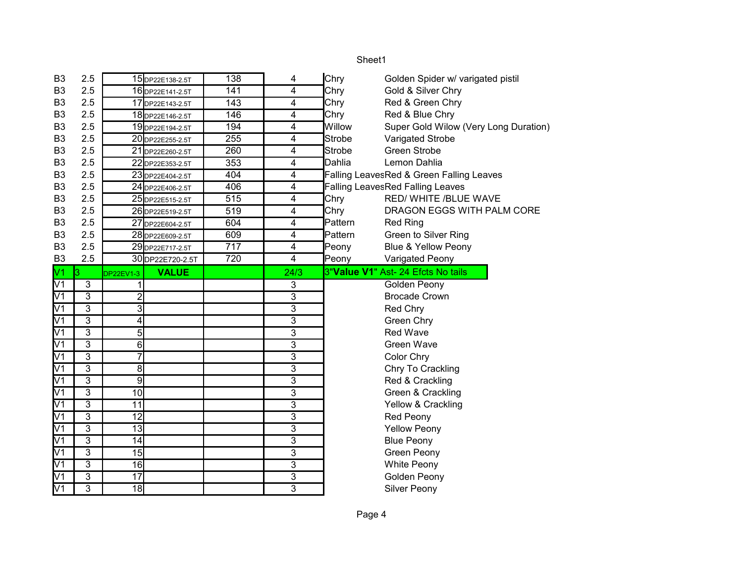| B <sub>3</sub>           | 2.5                     |                  | 15 DP22E138-2.5T | 138 | 4                       | Chry          | Golden Spider w/ varigated pistil        |
|--------------------------|-------------------------|------------------|------------------|-----|-------------------------|---------------|------------------------------------------|
| B <sub>3</sub>           | 2.5                     |                  | 16 DP22E141-2.5T | 141 | 4                       | Chry          | Gold & Silver Chry                       |
| B <sub>3</sub>           | 2.5                     |                  | 17 DP22E143-2.5T | 143 | 4                       | Chry          | Red & Green Chry                         |
| B <sub>3</sub>           | 2.5                     |                  | 18 DP22E146-2.5T | 146 | $\overline{\mathbf{4}}$ | Chry          | Red & Blue Chry                          |
| B <sub>3</sub>           | 2.5                     |                  | 19DP22E194-2.5T  | 194 | 4                       | Willow        | Super Gold Wilow (Very Long Duration)    |
| B <sub>3</sub>           | 2.5                     |                  | 20 DP22E255-2.5T | 255 | $\overline{\mathbf{4}}$ | <b>Strobe</b> | Varigated Strobe                         |
| B <sub>3</sub>           | 2.5                     |                  | 21 DP22E260-2.5T | 260 | 4                       | <b>Strobe</b> | <b>Green Strobe</b>                      |
| B <sub>3</sub>           | 2.5                     |                  | 22 DP22E353-2.5T | 353 | $\overline{\mathbf{4}}$ | Dahlia        | Lemon Dahlia                             |
| B <sub>3</sub>           | 2.5                     |                  | 23 DP22E404-2.5T | 404 | $\overline{4}$          |               | Falling LeavesRed & Green Falling Leaves |
| B <sub>3</sub>           | 2.5                     |                  | 24 DP22E406-2.5T | 406 | 4                       |               | <b>Falling LeavesRed Falling Leaves</b>  |
| B <sub>3</sub>           | 2.5                     |                  | 25 DP22E515-2.5T | 515 | 4                       | Chry          | RED/ WHITE /BLUE WAVE                    |
| B <sub>3</sub>           | 2.5                     |                  | 26 DP22E519-2.5T | 519 | $\overline{4}$          | Chry          | DRAGON EGGS WITH PALM CORE               |
| B <sub>3</sub>           | 2.5                     |                  | 27 DP22E604-2.5T | 604 | 4                       | Pattern       | <b>Red Ring</b>                          |
| B <sub>3</sub>           | 2.5                     |                  | 28 DP22E609-2.5T | 609 | 4                       | Pattern       | Green to Silver Ring                     |
| B <sub>3</sub>           | 2.5                     |                  | 29 DP22E717-2.5T | 717 | 4                       | Peony         | <b>Blue &amp; Yellow Peony</b>           |
| B <sub>3</sub>           | 2.5                     |                  | 30 DP22E720-2.5T | 720 | 4                       | Peony         | Varigated Peony                          |
| V1                       | l3                      | <b>DP22EV1-3</b> | <b>VALUE</b>     |     | 24/3                    |               | 3"Value V1" Ast- 24 Efcts No tails       |
| V1                       | $\overline{3}$          | 1                |                  |     | 3                       |               | Golden Peony                             |
| $\overline{V1}$          | 3                       | $\overline{c}$   |                  |     | 3                       |               | <b>Brocade Crown</b>                     |
| V <sub>1</sub>           | 3                       | 3                |                  |     | 3                       |               | Red Chry                                 |
| $\overline{V1}$          | $\overline{3}$          | 4                |                  |     | $\overline{3}$          |               | Green Chry                               |
| $\overline{V1}$          | $\overline{3}$          | 5                |                  |     | $\overline{3}$          |               | <b>Red Wave</b>                          |
| $\overline{V1}$          | $\overline{3}$          | $\overline{6}$   |                  |     | 3                       |               | <b>Green Wave</b>                        |
| $\overline{V1}$          | $\overline{\mathbf{3}}$ | $\overline{7}$   |                  |     | 3                       |               | Color Chry                               |
| $\overline{V1}$          | $\overline{3}$          | 8                |                  |     | 3                       |               | Chry To Crackling                        |
| $\overline{V1}$          | $\overline{3}$          | $\overline{9}$   |                  |     | 3                       |               | Red & Crackling                          |
| V1                       | 3                       | 10               |                  |     | 3                       |               | Green & Crackling                        |
| V <sub>1</sub>           | 3                       | 11               |                  |     | 3                       |               | Yellow & Crackling                       |
| V <sub>1</sub>           | 3                       | $\overline{12}$  |                  |     | 3                       |               | Red Peony                                |
| $\overline{\text{V1}}$   | 3                       | $\overline{13}$  |                  |     | 3                       |               | <b>Yellow Peony</b>                      |
| $\overline{\text{V1}}$   | 3                       | 14               |                  |     | 3                       |               | <b>Blue Peony</b>                        |
| $\overline{V1}$          | 3                       | 15               |                  |     | $\overline{3}$          |               | <b>Green Peony</b>                       |
| $\overline{\mathsf{V1}}$ |                         |                  |                  |     |                         |               |                                          |
|                          | $\overline{3}$          | 16               |                  |     | 3                       |               | White Peony                              |
| $\overline{V1}$          | $\overline{3}$          | $\overline{17}$  |                  |     | 3                       |               | Golden Peony                             |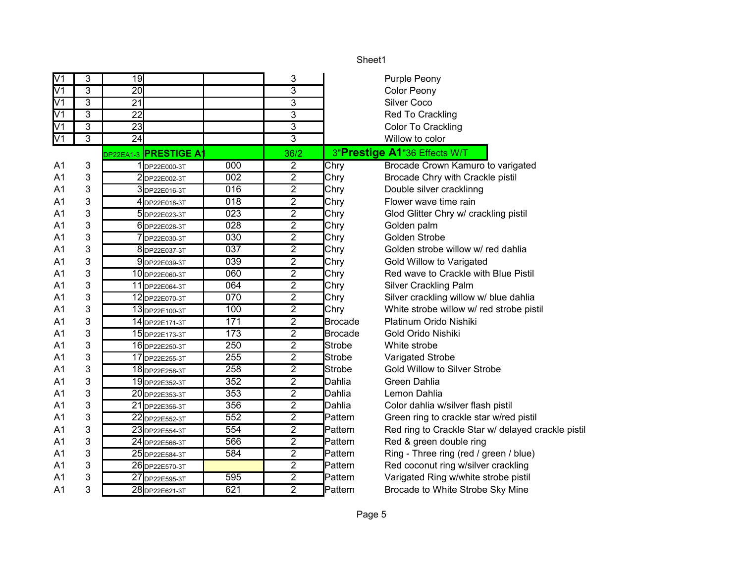|                          |                |                 |                             |                  |                | Sheet1         |                                                    |
|--------------------------|----------------|-----------------|-----------------------------|------------------|----------------|----------------|----------------------------------------------------|
| V1                       | 3              | 19              |                             |                  | 3              |                | <b>Purple Peony</b>                                |
| $\overline{\mathsf{V1}}$ | $\overline{3}$ | $\overline{20}$ |                             |                  | $\overline{3}$ |                | <b>Color Peony</b>                                 |
| V <sub>1</sub>           | 3              | $\overline{21}$ |                             |                  | 3              |                | <b>Silver Coco</b>                                 |
| V <sub>1</sub>           | $\overline{3}$ | $\overline{22}$ |                             |                  | $\overline{3}$ |                | Red To Crackling                                   |
| V1                       | $\overline{3}$ | 23              |                             |                  | $\overline{3}$ |                | Color To Crackling                                 |
| V <sub>1</sub>           | $\overline{3}$ | 24              |                             |                  | $\overline{3}$ |                | Willow to color                                    |
|                          |                |                 | DP22EA1-3 <b>PRESTIGE A</b> |                  | 36/2           |                | 3"Prestige A1"36 Effects W/T                       |
| A1                       | 3              |                 | 1 DP22E000-3T               | 000              | $\overline{2}$ | Chry           | Brocade Crown Kamuro to varigated                  |
| A1                       | 3              |                 | 2DP22E002-3T                | 002              | $\overline{2}$ | Chry           | Brocade Chry with Crackle pistil                   |
| A1                       | 3              |                 | 3 DP22E016-3T               | $\overline{016}$ | $\overline{2}$ | Chry           | Double silver cracklinng                           |
| A <sub>1</sub>           | 3              |                 | 4 DP22E018-3T               | 018              | $\mathbf 2$    | Chry           | Flower wave time rain                              |
| A <sub>1</sub>           | 3              |                 | 5 DP22E023-3T               | 023              | $\overline{2}$ | Chry           | Glod Glitter Chry w/ crackling pistil              |
| A1                       | 3              |                 | 6 DP22E028-3T               | 028              | $\mathbf 2$    | Chry           | Golden palm                                        |
| A1                       | 3              |                 | 7DP22E030-3T                | 030              | $\mathbf 2$    | Chry           | <b>Golden Strobe</b>                               |
| A1                       | 3              |                 | 8 DP22E037-3T               | 037              | $\overline{2}$ | Chry           | Golden strobe willow w/ red dahlia                 |
| A1                       | 3              |                 | 9 DP22E039-3T               | 039              | $\overline{2}$ | Chry           | Gold Willow to Varigated                           |
| A1                       | 3              |                 | 10 DP22E060-3T              | 060              | $\overline{2}$ | Chry           | Red wave to Crackle with Blue Pistil               |
| A1                       | 3              |                 | 11 DP22E064-3T              | 064              | $\overline{2}$ | Chry           | <b>Silver Crackling Palm</b>                       |
| A1                       | 3              |                 | 12 DP22E070-3T              | 070              | $\overline{2}$ | Chry           | Silver crackling willow w/ blue dahlia             |
| A1                       | 3              |                 | 13 DP22E100-3T              | 100              | 2              | Chry           | White strobe willow w/ red strobe pistil           |
| A1                       | 3              |                 | 14 DP22E171-3T              | 171              | $\overline{2}$ | <b>Brocade</b> | Platinum Orido Nishiki                             |
| A <sub>1</sub>           | 3              |                 | 15 DP22E173-3T              | 173              | $\overline{2}$ | Brocade        | Gold Orido Nishiki                                 |
| A <sub>1</sub>           | 3              |                 | 16 DP22E250-3T              | 250              | $\overline{2}$ | Strobe         | White strobe                                       |
| A1                       | 3              |                 | 17 DP22E255-3T              | 255              | $\overline{2}$ | Strobe         | Varigated Strobe                                   |
| A1                       | 3              |                 | 18 DP22E258-3T              | 258              | $\overline{2}$ | Strobe         | Gold Willow to Silver Strobe                       |
| A1                       | 3              |                 | 19 DP22E352-3T              | 352              | $\overline{2}$ | Dahlia         | Green Dahlia                                       |
| A1                       | 3              |                 | 20 DP22E353-3T              | 353              | $\overline{2}$ | Dahlia         | Lemon Dahlia                                       |
| A1                       | 3              |                 | 21 DP22E356-3T              | 356              | $\overline{2}$ | Dahlia         | Color dahlia w/silver flash pistil                 |
| A1                       | 3              |                 | 22 DP22E552-3T              | 552              | $\overline{2}$ | Pattern        | Green ring to crackle star w/red pistil            |
| A1                       | 3              |                 | 23 DP22E554-3T              | 554              | $\overline{2}$ | Pattern        | Red ring to Crackle Star w/ delayed crackle pistil |
| A1                       | 3              |                 | 24 DP22E566-3T              | 566              | $\overline{2}$ | Pattern        | Red & green double ring                            |
| A1                       | 3              |                 | 25 DP22E584-3T              | 584              | $\overline{2}$ | Pattern        | Ring - Three ring (red / green / blue)             |
| A1                       | 3              |                 | 26 DP22E570-3T              |                  | $\overline{2}$ | Pattern        | Red coconut ring w/silver crackling                |
| A <sub>1</sub>           | 3              |                 | 27 DP22E595-3T              | 595              | $\overline{2}$ | Pattern        | Varigated Ring w/white strobe pistil               |
| A <sub>1</sub>           | 3              |                 | 28 DP22E621-3T              | 621              | $\overline{2}$ | <b>Pattern</b> | Brocade to White Strobe Sky Mine                   |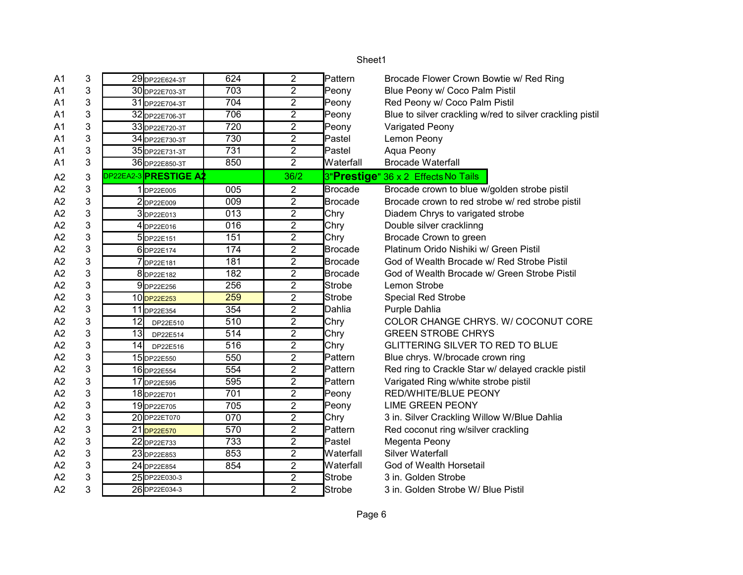| A1             | 3 | 29 DP22E624-3T        | 624 | $\overline{2}$ | Pattern        | Brocade Flower Crown Bowtie w/ Red Ring                   |
|----------------|---|-----------------------|-----|----------------|----------------|-----------------------------------------------------------|
| A <sub>1</sub> | 3 | 30 DP22E703-3T        | 703 | $\overline{2}$ | Peony          | Blue Peony w/ Coco Palm Pistil                            |
| A <sub>1</sub> | 3 | 31 DP22E704-3T        | 704 | $\overline{2}$ | Peony          | Red Peony w/ Coco Palm Pistil                             |
| A <sub>1</sub> | 3 | 32 DP22E706-3T        | 706 | $\overline{2}$ | Peony          | Blue to silver crackling w/red to silver crackling pistil |
| A <sub>1</sub> | 3 | 33 DP22E720-3T        | 720 | $\overline{2}$ | Peony          | Varigated Peony                                           |
| A <sub>1</sub> | 3 | 34 DP22E730-3T        | 730 | $\overline{2}$ | Pastel         | Lemon Peony                                               |
| A <sub>1</sub> | 3 | 35 DP22E731-3T        | 731 | $\overline{2}$ | Pastel         | Aqua Peony                                                |
| A <sub>1</sub> | 3 | 36 DP22E850-3T        | 850 | $\overline{2}$ | Waterfall      | <b>Brocade Waterfall</b>                                  |
| A2             | 3 | DP22EA2-3 PRESTIGE A2 |     | 36/2           |                | 3"Prestige" 36 x 2 Effects No Tails                       |
| A2             | 3 | 1DP22E005             | 005 | 2              | <b>Brocade</b> | Brocade crown to blue w/golden strobe pistil              |
| A2             | 3 | 2DP22E009             | 009 | $\overline{2}$ | <b>Brocade</b> | Brocade crown to red strobe w/ red strobe pistil          |
| A2             | 3 | 3DP22E013             | 013 | $\overline{2}$ | Chry           | Diadem Chrys to varigated strobe                          |
| A2             | 3 | 4 DP22E016            | 016 | $\overline{2}$ | Chry           | Double silver cracklinng                                  |
| A2             | 3 | 5DP22E151             | 151 | $\overline{2}$ | Chry           | Brocade Crown to green                                    |
| A2             | 3 | 6 DP22E174            | 174 | $\overline{2}$ | <b>Brocade</b> | Platinum Orido Nishiki w/ Green Pistil                    |
| A2             | 3 | 7DP22E181             | 181 | $\overline{2}$ | <b>Brocade</b> | God of Wealth Brocade w/ Red Strobe Pistil                |
| A2             | 3 | 8DP22E182             | 182 | $\overline{2}$ | <b>Brocade</b> | God of Wealth Brocade w/ Green Strobe Pistil              |
| A2             | 3 | 9DP22E256             | 256 | 2              | <b>Strobe</b>  | Lemon Strobe                                              |
| A2             | 3 | 10DP22E253            | 259 | $\overline{2}$ | Strobe         | <b>Special Red Strobe</b>                                 |
| A2             | 3 | 11 DP22E354           | 354 | $\overline{2}$ | Dahlia         | Purple Dahlia                                             |
| A2             | 3 | 12<br>DP22E510        | 510 | $\overline{2}$ | Chry           | COLOR CHANGE CHRYS. W/ COCONUT CORE                       |
| A2             | 3 | 13<br>DP22E514        | 514 | $\overline{2}$ | Chry           | <b>GREEN STROBE CHRYS</b>                                 |
| A2             | 3 | 14<br>DP22E516        | 516 | $\overline{2}$ | Chry           | <b>GLITTERING SILVER TO RED TO BLUE</b>                   |
| A2             | 3 | 15 DP22E550           | 550 | $\overline{2}$ | Pattern        | Blue chrys. W/brocade crown ring                          |
| A2             | 3 | 16 DP22E554           | 554 | $\overline{2}$ | Pattern        | Red ring to Crackle Star w/ delayed crackle pistil        |
| A2             | 3 | 17 DP22E595           | 595 | $\overline{2}$ | Pattern        | Varigated Ring w/white strobe pistil                      |
| A2             | 3 | 18 DP22E701           | 701 | $\overline{2}$ | Peony          | RED/WHITE/BLUE PEONY                                      |
| A2             | 3 | 19 DP22E705           | 705 | $\overline{2}$ | Peony          | <b>LIME GREEN PEONY</b>                                   |
| A2             | 3 | 20 DP22ET070          | 070 | $\overline{2}$ | Chry           | 3 in. Silver Crackling Willow W/Blue Dahlia               |
| A2             | 3 | 21 DP22E570           | 570 | $\overline{2}$ | Pattern        | Red coconut ring w/silver crackling                       |
| A2             | 3 | 22 DP22E733           | 733 | $\overline{2}$ | Pastel         | Megenta Peony                                             |
| A2             | 3 | 23 DP22E853           | 853 | $\overline{2}$ | Waterfall      | Silver Waterfall                                          |
| A2             | 3 | 24 DP22E854           | 854 | $\overline{2}$ | Waterfall      | God of Wealth Horsetail                                   |
| A2             | 3 | 25DP22E030-3          |     | $\overline{2}$ | Strobe         | 3 in. Golden Strobe                                       |
| A2             | 3 | 26DP22E034-3          |     | $\overline{2}$ | Strobe         | 3 in. Golden Strobe W/ Blue Pistil                        |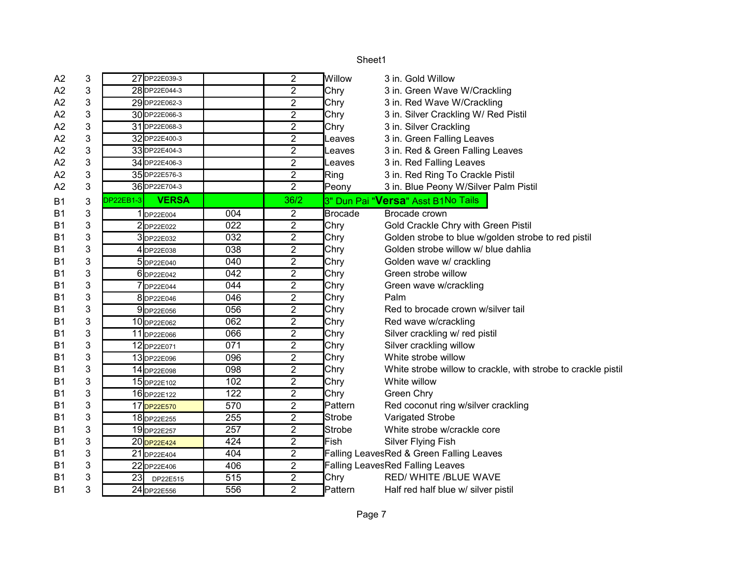| A2        | 3 | 27 DP22E039-3             |                  | 2              | Willow         | 3 in. Gold Willow                                             |
|-----------|---|---------------------------|------------------|----------------|----------------|---------------------------------------------------------------|
| A2        | 3 | 28 DP22E044-3             |                  | 2              | Chry           | 3 in. Green Wave W/Crackling                                  |
| A2        | 3 | 29 DP22E062-3             |                  | $\overline{2}$ | Chry           | 3 in. Red Wave W/Crackling                                    |
| A2        | 3 | 30 DP22E066-3             |                  | $\overline{2}$ | Chry           | 3 in. Silver Crackling W/ Red Pistil                          |
| Α2        | 3 | 31 DP22E068-3             |                  | $\overline{2}$ | Chry           | 3 in. Silver Crackling                                        |
| A2        | 3 | 32 DP22E400-3             |                  | $\overline{2}$ | Leaves         | 3 in. Green Falling Leaves                                    |
| A2        | 3 | 33 DP22E404-3             |                  | $\overline{2}$ | Leaves         | 3 in. Red & Green Falling Leaves                              |
| A2        | 3 | 34 DP22E406-3             |                  | $\overline{2}$ | Leaves         | 3 in. Red Falling Leaves                                      |
| А2        | 3 | 35 DP22E576-3             |                  | $\overline{2}$ | Ring           | 3 in. Red Ring To Crackle Pistil                              |
| A2        | 3 | 36 DP22E704-3             |                  | $\overline{2}$ | Peony          | 3 in. Blue Peony W/Silver Palm Pistil                         |
| <b>B1</b> | 3 | <b>VERSA</b><br>DP22EB1-3 |                  | 36/2           |                | 3" Dun Pai "Versa" Asst B1No Tails                            |
| Β1        | 3 | 1DP22E004                 | 004              | 2              | <b>Brocade</b> | Brocade crown                                                 |
| <b>B1</b> | 3 | 2DP22E022                 | 022              | 2              | Chry           | Gold Crackle Chry with Green Pistil                           |
| <b>B1</b> | 3 | 3DP22E032                 | 032              | $\overline{2}$ | Chry           | Golden strobe to blue w/golden strobe to red pistil           |
| <b>B1</b> | 3 | 4 DP22E038                | 038              | $\overline{2}$ | Chry           | Golden strobe willow w/ blue dahlia                           |
| <b>B1</b> | 3 | 5 DP22E040                | 040              | $\overline{2}$ | Chry           | Golden wave w/ crackling                                      |
| <b>B1</b> | 3 | 6 DP22E042                | 042              | $\overline{2}$ | Chry           | Green strobe willow                                           |
| <b>B1</b> | 3 | DP22E044                  | 044              | $\overline{2}$ | Chry           | Green wave w/crackling                                        |
| <b>B1</b> | 3 | 8DP22E046                 | 046              | $\overline{2}$ | Chry           | Palm                                                          |
| <b>B1</b> | 3 | 9DP22E056                 | 056              | $\overline{2}$ | Chry           | Red to brocade crown w/silver tail                            |
| <b>B1</b> | 3 | 10 DP22E062               | 062              | 2              | Chry           | Red wave w/crackling                                          |
| <b>B1</b> | 3 | 11 DP22E066               | 066              | $\overline{c}$ | Chry           | Silver crackling w/ red pistil                                |
| <b>B1</b> | 3 | 12 DP22E071               | 071              | $\overline{2}$ | Chry           | Silver crackling willow                                       |
| <b>B1</b> | 3 | 13 DP22E096               | 096              | $\overline{2}$ | Chry           | White strobe willow                                           |
| <b>B1</b> | 3 | 14 DP22E098               | 098              | $\overline{2}$ | Chry           | White strobe willow to crackle, with strobe to crackle pistil |
| <b>B1</b> | 3 | 15 DP22E102               | 102              | 2              | Chry           | White willow                                                  |
| <b>B1</b> | 3 | 16 DP22E122               | $\overline{122}$ | $\overline{2}$ | Chry           | Green Chry                                                    |
| <b>B1</b> | 3 | 17 DP22E570               | 570              | $\overline{2}$ | Pattern        | Red coconut ring w/silver crackling                           |
| <b>B1</b> | 3 | 18 DP22E255               | 255              | $\overline{2}$ | <b>Strobe</b>  | Varigated Strobe                                              |
| <b>B1</b> | 3 | 19 DP22E257               | 257              | $\overline{2}$ | Strobe         | White strobe w/crackle core                                   |
| <b>B1</b> | 3 | 20 DP22E424               | 424              | $\overline{2}$ | Fish           | <b>Silver Flying Fish</b>                                     |
| <b>B1</b> | 3 | 21 DP22E404               | 404              | $\overline{2}$ |                | Falling LeavesRed & Green Falling Leaves                      |
| <b>B1</b> | 3 | 22 DP22E406               | 406              | 2              |                | <b>Falling LeavesRed Falling Leaves</b>                       |
| <b>B1</b> | 3 | 23<br>DP22E515            | 515              | 2              | Chry           | RED/ WHITE /BLUE WAVE                                         |
| <b>B1</b> | 3 | 24 DP22E556               | 556              | $\overline{2}$ | Pattern        | Half red half blue w/ silver pistil                           |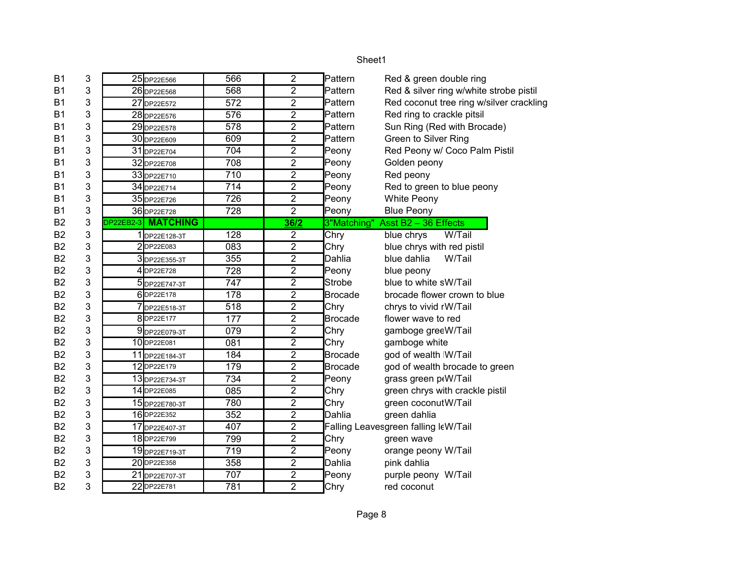| Pattern<br>Red & green double ring<br>Pattern<br>Red & silver ring w/white strobe pistil<br>Red coconut tree ring w/silver crackling<br>Pattern<br>Red ring to crackle pitsil<br>Pattern<br>Pattern<br>Sun Ring (Red with Brocade)<br>Green to Silver Ring<br>Pattern<br>Red Peony w/ Coco Palm Pistil<br>Peony<br>Peony<br>Golden peony<br>Red peony<br>Peony<br>Red to green to blue peony<br>Peony |
|-------------------------------------------------------------------------------------------------------------------------------------------------------------------------------------------------------------------------------------------------------------------------------------------------------------------------------------------------------------------------------------------------------|
|                                                                                                                                                                                                                                                                                                                                                                                                       |
|                                                                                                                                                                                                                                                                                                                                                                                                       |
|                                                                                                                                                                                                                                                                                                                                                                                                       |
|                                                                                                                                                                                                                                                                                                                                                                                                       |
|                                                                                                                                                                                                                                                                                                                                                                                                       |
|                                                                                                                                                                                                                                                                                                                                                                                                       |
|                                                                                                                                                                                                                                                                                                                                                                                                       |
|                                                                                                                                                                                                                                                                                                                                                                                                       |
|                                                                                                                                                                                                                                                                                                                                                                                                       |
|                                                                                                                                                                                                                                                                                                                                                                                                       |
| Peony<br>White Peony                                                                                                                                                                                                                                                                                                                                                                                  |
| Peony<br><b>Blue Peony</b>                                                                                                                                                                                                                                                                                                                                                                            |
| 3"Matching"<br>Asst B2 - 36 Effects                                                                                                                                                                                                                                                                                                                                                                   |
| blue chrys<br>W/Tail                                                                                                                                                                                                                                                                                                                                                                                  |
| blue chrys with red pistil                                                                                                                                                                                                                                                                                                                                                                            |
| blue dahlia<br>W/Tail<br>Dahlia                                                                                                                                                                                                                                                                                                                                                                       |
| Peony<br>blue peony                                                                                                                                                                                                                                                                                                                                                                                   |
| Strobe<br>blue to white sW/Tail                                                                                                                                                                                                                                                                                                                                                                       |
| Brocade<br>brocade flower crown to blue                                                                                                                                                                                                                                                                                                                                                               |
| chrys to vivid rW/Tail                                                                                                                                                                                                                                                                                                                                                                                |
| <b>Brocade</b><br>flower wave to red                                                                                                                                                                                                                                                                                                                                                                  |
| gamboge greeW/Tail                                                                                                                                                                                                                                                                                                                                                                                    |
| gamboge white                                                                                                                                                                                                                                                                                                                                                                                         |
| <b>Brocade</b><br>god of wealth W/Tail                                                                                                                                                                                                                                                                                                                                                                |
| <b>Brocade</b><br>god of wealth brocade to green                                                                                                                                                                                                                                                                                                                                                      |
| Peony<br>grass green p(W/Tail                                                                                                                                                                                                                                                                                                                                                                         |
| green chrys with crackle pistil                                                                                                                                                                                                                                                                                                                                                                       |
| green coconut W/Tail                                                                                                                                                                                                                                                                                                                                                                                  |
| green dahlia<br>Dahlia                                                                                                                                                                                                                                                                                                                                                                                |
| Falling Leavesgreen falling leW/Tail                                                                                                                                                                                                                                                                                                                                                                  |
| green wave                                                                                                                                                                                                                                                                                                                                                                                            |
| Peony<br>orange peony W/Tail                                                                                                                                                                                                                                                                                                                                                                          |
| Dahlia<br>pink dahlia                                                                                                                                                                                                                                                                                                                                                                                 |
| Peony<br>purple peony W/Tail                                                                                                                                                                                                                                                                                                                                                                          |
| red coconut                                                                                                                                                                                                                                                                                                                                                                                           |
| Chry<br>Chry<br>Chry<br>Chry                                                                                                                                                                                                                                                                                                                                                                          |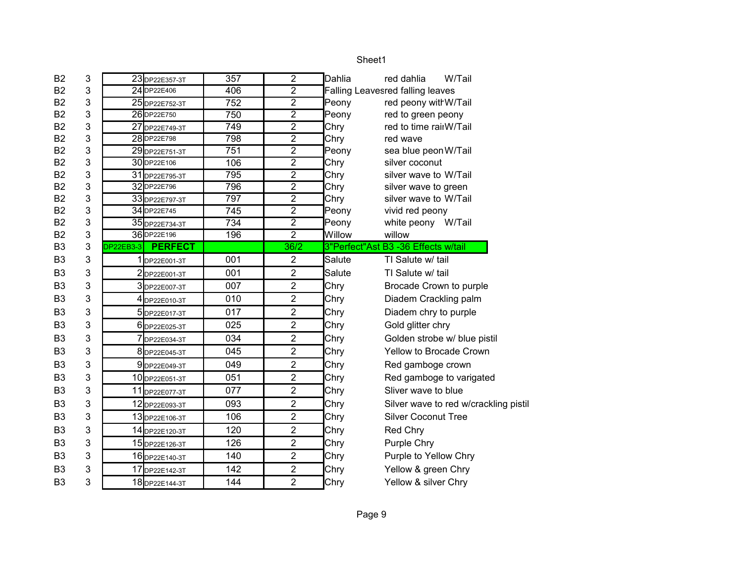| 2<br>Dahlia                    | W/Tail<br>red dahlia                                                                                                                                                                                              |
|--------------------------------|-------------------------------------------------------------------------------------------------------------------------------------------------------------------------------------------------------------------|
| $\overline{2}$                 | <b>Falling Leavesred falling leaves</b>                                                                                                                                                                           |
| $\overline{2}$<br>Peony        | red peony with W/Tail                                                                                                                                                                                             |
| $\overline{2}$<br>Peony        | red to green peony                                                                                                                                                                                                |
| $\overline{2}$<br>Chry         | red to time rairW/Tail                                                                                                                                                                                            |
| Chry                           | red wave                                                                                                                                                                                                          |
| Peony                          | sea blue peon W/Tail                                                                                                                                                                                              |
|                                | silver coconut                                                                                                                                                                                                    |
|                                | silver wave to W/Tail                                                                                                                                                                                             |
|                                | silver wave to green                                                                                                                                                                                              |
|                                | silver wave to W/Tail                                                                                                                                                                                             |
| Peony                          | vivid red peony                                                                                                                                                                                                   |
|                                | white peony W/Tail                                                                                                                                                                                                |
|                                | willow                                                                                                                                                                                                            |
| 36/2                           | 3"Perfect"Ast B3 -36 Effects w/tail                                                                                                                                                                               |
|                                |                                                                                                                                                                                                                   |
| 2<br>Salute                    | TI Salute w/ tail                                                                                                                                                                                                 |
| $\overline{2}$<br>Salute       | TI Salute w/ tail                                                                                                                                                                                                 |
| $\overline{2}$<br>Chry         | Brocade Crown to purple                                                                                                                                                                                           |
| $\overline{2}$<br>Chry         | Diadem Crackling palm                                                                                                                                                                                             |
| $\overline{2}$<br>Chry         | Diadem chry to purple                                                                                                                                                                                             |
| $\overline{2}$<br>Chry         | Gold glitter chry                                                                                                                                                                                                 |
| $\overline{2}$<br>Chry         | Golden strobe w/ blue pistil                                                                                                                                                                                      |
| $\overline{2}$<br>Chry         | Yellow to Brocade Crown                                                                                                                                                                                           |
| $\overline{2}$                 |                                                                                                                                                                                                                   |
| Chry<br>2                      | Red gamboge crown                                                                                                                                                                                                 |
| Chry<br>$\overline{2}$<br>Chry | Red gamboge to varigated<br>Sliver wave to blue                                                                                                                                                                   |
| $\overline{2}$<br>Chry         | Silver wave to red w/crackling pistil                                                                                                                                                                             |
| $\overline{2}$<br>Chry         | <b>Silver Coconut Tree</b>                                                                                                                                                                                        |
| $\overline{2}$                 | Red Chry                                                                                                                                                                                                          |
| Chry<br>$\overline{2}$<br>Chry | Purple Chry                                                                                                                                                                                                       |
| $\boldsymbol{2}$<br>Chry       | Purple to Yellow Chry                                                                                                                                                                                             |
| $\overline{2}$<br>Chry         | Yellow & green Chry                                                                                                                                                                                               |
|                                | $\overline{2}$<br>$\overline{2}$<br>$\overline{2}$<br>Chry<br>$\overline{2}$<br>Chry<br>$\overline{2}$<br>Chry<br>$\overline{2}$<br>Chry<br>$\overline{2}$<br>$\overline{2}$<br>Peony<br>$\overline{2}$<br>Willow |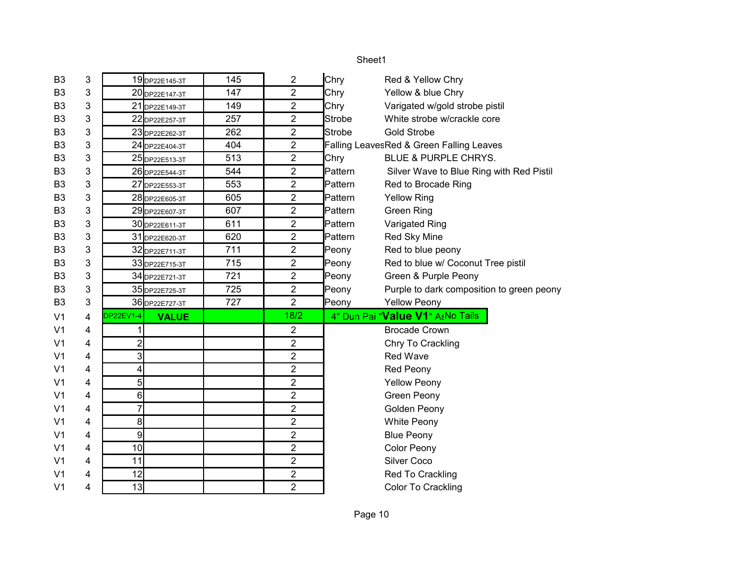# B3 3 | 19 DP22E145-3T | 145 | 2 Chry Red & Yellow Chry B3 3  $20_{\text{DP22E147-3T}}$  147 2 Chry Yellow & blue Chry B3 3 21 DP22E149-3T 149 2 Chry Varigated w/gold strobe pistil B3 3 | 22 <sub>DP22E257-3T</sub> | 257 | 2 | Strobe White strobe w/crackle core B3 3 | 23 DP22E262-3T | 262 | 2 Strobe Gold Strobe B3 3 | 24 DP22E404-3T | 404 | 2 | Falling Leaves Red & Green Falling Leaves B3 3 25 DP22E513-3T 513 2 Chry BLUE & PURPLE CHRYS. B3 3 | 26 DP22E544-3T | 544 | 2 | Pattern Silver Wave to Blue Ring with Red Pistil B3 3 27 DP22E553-3T 3 553 2 Pattern Red to Brocade Ring B3 3 | 28 DP22E605-3T | 605 | 2 | Pattern Yellow Ring B3 3 29 DP22E607-3T 607 2 Pattern Green Ring B3 3 30 DP22E611-3T 611 2 Pattern Varigated Ring B3 3 3 31 DP22E620-3T | 620 | 2 | Pattern Red Sky Mine B3 3  $\vert$  32 DP22E711-3T  $\vert$  711  $\vert$  2 Peony Red to blue peony B3 3 33 DP22E715-3T 715 2 Peony Red to blue w/ Coconut Tree pistil B3 3 | 34 DP22E721-3T | 721 | 2 | Peony Green & Purple Peony B3 3 3 35 DP22E725-3T 725 2 Peony Purple to dark composition to green peony B3 3 36 DP22E727-3T | 727 | 2 | Peony Yellow Peony V1 4 <mark>DP22EV1-4</mark> **VALUE 4" Dun Pai "<b>Value V1**" AsNo Tails V1 4 | 1 | | | | | | | | | | Brocade Crown V1 4 2 2 Chry To Crackling V1 4 3 3 2 2 Red Wave V1 4 4 4 2 Red Peony V1 4 | 5 | 2 | Yellow Peony V1 4 6 6 6 2 2 Green Peony V1 4 7 7 2 2 Golden Peony V1 4 8 8 2 2 White Peony V<sub>1</sub> 4 9 9 2 2 Blue Peony V1 4 | 10 | 2 | Color Peony V1 4 11 11 2 Silver Coco V1 4 12 12 2 Red To Crackling V1 4 13 13 2 Color To Crackling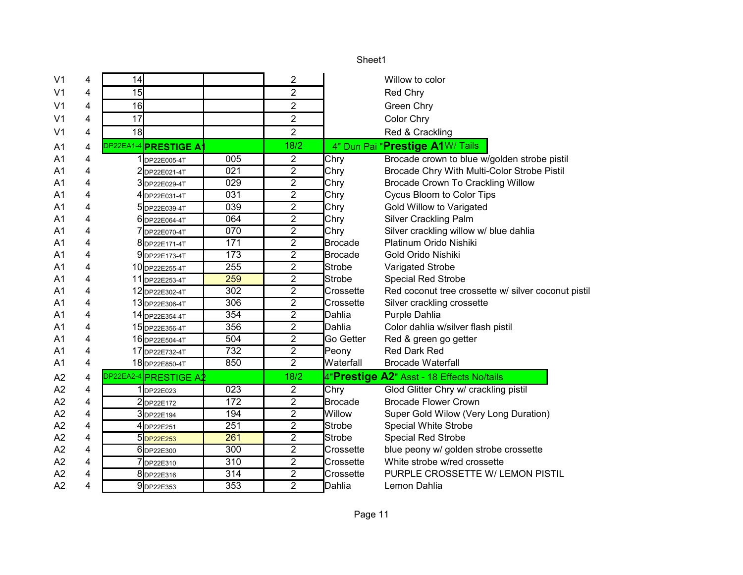|                |   |    |                       |                  |                         | Sheet1         |                                                     |
|----------------|---|----|-----------------------|------------------|-------------------------|----------------|-----------------------------------------------------|
| V <sub>1</sub> | 4 | 14 |                       |                  | 2                       |                | Willow to color                                     |
| V <sub>1</sub> | 4 | 15 |                       |                  | $\overline{2}$          |                | Red Chry                                            |
| V <sub>1</sub> | 4 | 16 |                       |                  | $\overline{2}$          |                | Green Chry                                          |
| V <sub>1</sub> | 4 | 17 |                       |                  | $\overline{2}$          |                | Color Chry                                          |
| V <sub>1</sub> | 4 | 18 |                       |                  | $\overline{2}$          |                | Red & Crackling                                     |
| A <sub>1</sub> | 4 |    | DP22EA1-4 PRESTIGE A1 |                  | 18/2                    |                | 4" Dun Pai "Prestige A1W/ Tails                     |
| A <sub>1</sub> | 4 |    | 1 DP22E005-4T         | 005              | $\overline{2}$          | Chry           | Brocade crown to blue w/golden strobe pistil        |
| A <sub>1</sub> | 4 |    | DP22E021-4T           | 021              | $\overline{2}$          | Chry           | Brocade Chry With Multi-Color Strobe Pistil         |
| A <sub>1</sub> | 4 |    | 3DP22E029-4T          | 029              | $\overline{2}$          | Chry           | Brocade Crown To Crackling Willow                   |
| A <sub>1</sub> | 4 |    | 4 DP22E031-4T         | 031              | $\overline{\mathbf{c}}$ | Chry           | Cycus Bloom to Color Tips                           |
| A1             | 4 |    | DP22E039-4T           | 039              | $\overline{2}$          | Chry           | Gold Willow to Varigated                            |
| A1             | 4 |    | DP22E064-4T           | 064              | $\overline{2}$          | Chry           | <b>Silver Crackling Palm</b>                        |
| A1             | 4 |    | DP22E070-4T           | 070              | $\overline{2}$          | Chry           | Silver crackling willow w/ blue dahlia              |
| A1             | 4 |    | 8 DP22E171-4T         | 171              | $\overline{2}$          | <b>Brocade</b> | Platinum Orido Nishiki                              |
| A1             | 4 |    | 9DP22E173-4T          | $\overline{173}$ | $\overline{2}$          | <b>Brocade</b> | Gold Orido Nishiki                                  |
| A <sub>1</sub> | 4 |    | 10 DP22E255-4T        | 255              | $\overline{2}$          | Strobe         | Varigated Strobe                                    |
| A <sub>1</sub> | 4 |    | 11 DP22E253-4T        | 259              | $\boldsymbol{2}$        | <b>Strobe</b>  | <b>Special Red Strobe</b>                           |
| A <sub>1</sub> | 4 |    | 12 DP22E302-4T        | 302              | $\overline{2}$          | Crossette      | Red coconut tree crossette w/ silver coconut pistil |
| A <sub>1</sub> | 4 |    | 13 DP22E306-4T        | 306              | $\overline{2}$          | Crossette      | Silver crackling crossette                          |
| A <sub>1</sub> | 4 |    | 14 DP22E354-4T        | 354              | $\overline{2}$          | Dahlia         | Purple Dahlia                                       |
| A <sub>1</sub> | 4 |    | 15 DP22E356-4T        | 356              | $\overline{2}$          | Dahlia         | Color dahlia w/silver flash pistil                  |
| A <sub>1</sub> | 4 |    | 16 DP22E504-4T        | 504              | $\overline{2}$          | Go Getter      | Red & green go getter                               |
| A <sub>1</sub> | 4 |    | 17 DP22E732-4T        | 732              | $\overline{2}$          | Peony          | Red Dark Red                                        |
| A <sub>1</sub> | 4 |    | 18 DP22E850-4T        | 850              | $\overline{2}$          | Waterfall      | <b>Brocade Waterfall</b>                            |
| A2             | 4 |    | DP22EA2-4 PRESTIGE A2 |                  | 18/2                    |                | 4"Prestige A2" Asst - 18 Effects No/tails           |
| A2             | 4 |    | 1 DP22E023            | 023              | $\overline{2}$          | Chry           | Glod Glitter Chry w/ crackling pistil               |
| A2             | 4 |    | 2DP22E172             | 172              | $\overline{2}$          | Brocade        | <b>Brocade Flower Crown</b>                         |
| A2             | 4 |    | 3DP22E194             | 194              | $\boldsymbol{2}$        | Willow         | Super Gold Wilow (Very Long Duration)               |
| A2             | 4 |    | 4 DP22E251            | 251              | $\overline{2}$          | Strobe         | <b>Special White Strobe</b>                         |
| A2             | 4 |    | 5DP22E253             | 261              | $\overline{2}$          | Strobe         | <b>Special Red Strobe</b>                           |
| A2             | 4 |    | 6 DP22E300            | 300              | $\overline{2}$          | Crossette      | blue peony w/ golden strobe crossette               |
| A2             | 4 |    | 7DP22E310             | 310              | $\overline{2}$          | Crossette      | White strobe w/red crossette                        |
| A2             | 4 |    | 8 DP22E316            | 314              | $\overline{2}$          | Crossette      | PURPLE CROSSETTE W/ LEMON PISTIL                    |
| A2             | 4 |    | 9DP22E353             | 353              | $\overline{2}$          | <b>Dahlia</b>  | Lemon Dahlia                                        |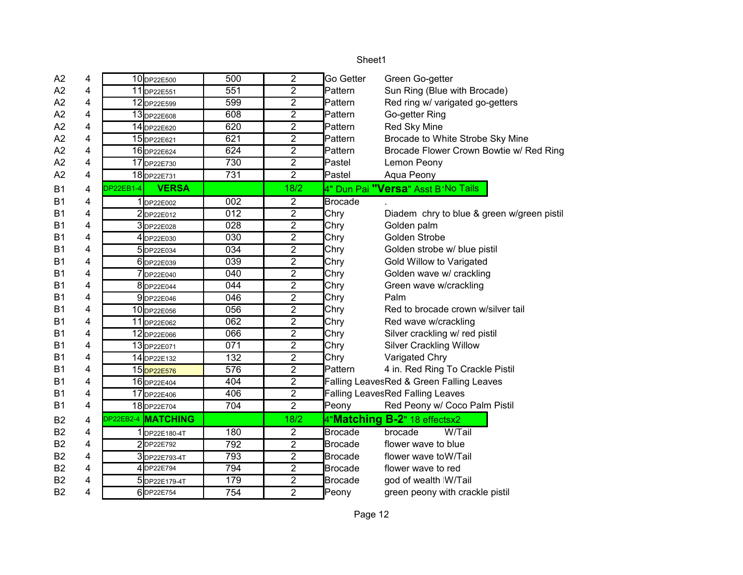| A <sub>2</sub> | 4 |                  | 10 DP22E500        | 500              | $\overline{2}$ | Go Getter      | Green Go-getter                            |
|----------------|---|------------------|--------------------|------------------|----------------|----------------|--------------------------------------------|
| A2             | 4 |                  | 11 DP22E551        | 551              | $\overline{2}$ | Pattern        | Sun Ring (Blue with Brocade)               |
| A2             | 4 |                  | 12 DP22E599        | 599              | $\overline{2}$ | Pattern        | Red ring w/ varigated go-getters           |
| A2             | 4 |                  | 13 DP22E608        | 608              | $\overline{2}$ | Pattern        | Go-getter Ring                             |
| A2             | 4 |                  | 14 DP22E620        | 620              | $\overline{2}$ | Pattern        | Red Sky Mine                               |
| A2             | 4 |                  | 15 DP22E621        | 621              | $\overline{2}$ | Pattern        | Brocade to White Strobe Sky Mine           |
| A2             | 4 |                  | 16 DP22E624        | 624              | $\overline{2}$ | Pattern        | Brocade Flower Crown Bowtie w/ Red Ring    |
| A2             | 4 |                  | 17 DP22E730        | 730              | $\overline{2}$ | Pastel         | Lemon Peony                                |
| A2             | 4 |                  | 18 DP22E731        | 731              | $\overline{2}$ | Pastel         | Aqua Peony                                 |
| B <sub>1</sub> | 4 | <b>DP22EB1-4</b> | <b>VERSA</b>       |                  | 18/2           |                | 4" Dun Pai <b>"Versa</b> " Asst B1No Tails |
| <b>B1</b>      | 4 |                  | 1DP22E002          | 002              | $\overline{2}$ | <b>Brocade</b> |                                            |
| <b>B1</b>      | 4 |                  | 2DP22E012          | 012              | $\overline{2}$ | Chry           | Diadem chry to blue & green w/green pistil |
| <b>B1</b>      | 4 |                  | 3DP22E028          | 028              | $\overline{2}$ | Chry           | Golden palm                                |
| B <sub>1</sub> | 4 |                  | 4 DP22E030         | 030              | $\overline{c}$ | Chry           | Golden Strobe                              |
| <b>B1</b>      | 4 |                  | 5 DP22E034         | 034              | $\overline{2}$ | Chry           | Golden strobe w/ blue pistil               |
| <b>B1</b>      | 4 |                  | 6 DP22E039         | 039              | $\overline{2}$ | Chry           | Gold Willow to Varigated                   |
| <b>B1</b>      | 4 |                  | 7 DP22E040         | 040              | $\overline{2}$ | Chry           | Golden wave w/ crackling                   |
| <b>B1</b>      | 4 |                  | 8 DP22E044         | 044              | $\overline{2}$ | Chry           | Green wave w/crackling                     |
| <b>B1</b>      | 4 |                  | 9DP22E046          | 046              | $\overline{2}$ | Chry           | Palm                                       |
| <b>B1</b>      | 4 |                  | 10 DP22E056        | 056              | $\overline{2}$ | Chry           | Red to brocade crown w/silver tail         |
| B <sub>1</sub> | 4 |                  | 11 DP22E062        | 062              | $\overline{2}$ | Chry           | Red wave w/crackling                       |
| <b>B1</b>      | 4 |                  | 12 DP22E066        | 066              | $\overline{2}$ | Chry           | Silver crackling w/ red pistil             |
| <b>B1</b>      | 4 |                  | 13 DP22E071        | 071              | $\overline{2}$ | Chry           | <b>Silver Crackling Willow</b>             |
| <b>B1</b>      | 4 |                  | 14 DP22E132        | 132              | $\overline{2}$ | Chry           | Varigated Chry                             |
| B <sub>1</sub> | 4 |                  | 15 DP22E576        | $\overline{576}$ | $\overline{2}$ | Pattern        | 4 in. Red Ring To Crackle Pistil           |
| B1             | 4 |                  | 16 DP22E404        | 404              | $\overline{2}$ |                | Falling LeavesRed & Green Falling Leaves   |
| <b>B1</b>      | 4 |                  | 17 DP22E406        | 406              | $\overline{2}$ |                | <b>Falling LeavesRed Falling Leaves</b>    |
| <b>B1</b>      | 4 |                  | 18 DP22E704        | 704              | $\overline{2}$ | Peony          | Red Peony w/ Coco Palm Pistil              |
| B <sub>2</sub> | 4 |                  | DP22EB2-4 MATCHING |                  | 18/2           |                | 4"Matching B-2" 18 effectsx2               |
| <b>B2</b>      | 4 |                  | DP22E180-4T        | 180              | $\overline{2}$ | <b>Brocade</b> | brocade<br>W/Tail                          |
| <b>B2</b>      | 4 |                  | 2DP22E792          | 792              | $\overline{2}$ | <b>Brocade</b> | flower wave to blue                        |
| <b>B2</b>      | 4 |                  | 3 DP22E793-4T      | 793              | $\overline{2}$ | <b>Brocade</b> | flower wave to W/Tail                      |
| <b>B2</b>      | 4 |                  | 4 DP22E794         | 794              | $\overline{2}$ | <b>Brocade</b> | flower wave to red                         |
| B <sub>2</sub> | 4 |                  | 5 DP22E179-4T      | 179              | $\overline{2}$ | <b>Brocade</b> | god of wealth W/Tail                       |
| B <sub>2</sub> | 4 |                  | 6DP22E754          | 754              | $\overline{2}$ | Peony          | green peony with crackle pistil            |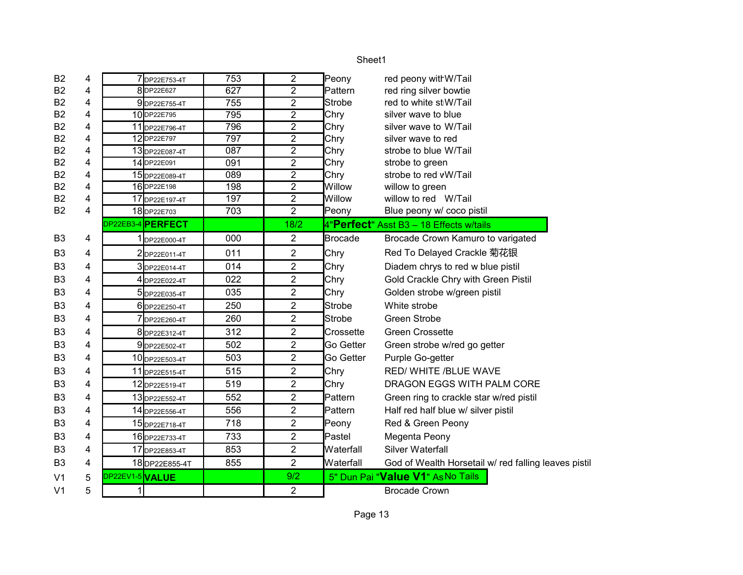| <b>B2</b>      | 4 | 7 DP22E753-4T     | 753 | $\overline{2}$ | Peony          | red peony with W/Tail                                |
|----------------|---|-------------------|-----|----------------|----------------|------------------------------------------------------|
| <b>B2</b>      | 4 | 8DP22E627         | 627 | $\overline{2}$ | Pattern        | red ring silver bowtie                               |
| <b>B2</b>      | 4 | 9DP22E755-4T      | 755 | $\overline{2}$ | Strobe         | red to white st W/Tail                               |
| <b>B2</b>      | 4 | 10DP22E795        | 795 | $\overline{2}$ | Chry           | silver wave to blue                                  |
| <b>B2</b>      | 4 | 11 DP22E796-4T    | 796 | $\overline{2}$ | Chry           | silver wave to W/Tail                                |
| <b>B2</b>      | 4 | 12DP22E797        | 797 | $\overline{2}$ | Chry           | silver wave to red                                   |
| B <sub>2</sub> | 4 | 13DP22E087-4T     | 087 | $\overline{2}$ | Chry           | strobe to blue W/Tail                                |
| <b>B2</b>      | 4 | 14 DP22E091       | 091 | $\overline{2}$ | Chry           | strobe to green                                      |
| B <sub>2</sub> | 4 | 15 DP22E089-4T    | 089 | $\overline{2}$ | Chry           | strobe to red vW/Tail                                |
| <b>B2</b>      | 4 | 16DP22E198        | 198 | $\overline{2}$ | Willow         | willow to green                                      |
| <b>B2</b>      | 4 | 17 DP22E197-4T    | 197 | $\overline{2}$ | Willow         | willow to red W/Tail                                 |
| <b>B2</b>      | 4 | 18 DP22E703       | 703 | $\overline{2}$ | Peony          | Blue peony w/ coco pistil                            |
|                |   | DP22EB3-4 PERFECT |     | 18/2           |                | 4"Perfect" Asst B3 - 18 Effects w/tails              |
| B <sub>3</sub> | 4 | 1 DP22E000-4T     | 000 | $\overline{2}$ | <b>Brocade</b> | Brocade Crown Kamuro to varigated                    |
| B <sub>3</sub> | 4 | 2DP22E011-4T      | 011 | $\overline{2}$ | Chry           | Red To Delayed Crackle 菊花银                           |
| B <sub>3</sub> | 4 | 3DP22E014-4T      | 014 | $\overline{2}$ | Chry           | Diadem chrys to red w blue pistil                    |
| B <sub>3</sub> | 4 | 4DP22E022-4T      | 022 | $\overline{c}$ | Chry           | Gold Crackle Chry with Green Pistil                  |
| B <sub>3</sub> | 4 | 5DP22E035-4T      | 035 | $\overline{2}$ | Chry           | Golden strobe w/green pistil                         |
| B <sub>3</sub> | 4 | 6 DP22E250-4T     | 250 | $\overline{2}$ | <b>Strobe</b>  | White strobe                                         |
| B <sub>3</sub> | 4 | 7 DP22E260-4T     | 260 | $\overline{2}$ | Strobe         | <b>Green Strobe</b>                                  |
| B <sub>3</sub> | 4 | 8 DP22E312-4T     | 312 | $\overline{2}$ | Crossette      | <b>Green Crossette</b>                               |
| B <sub>3</sub> | 4 | 9DP22E502-4T      | 502 | $\overline{c}$ | Go Getter      | Green strobe w/red go getter                         |
| B <sub>3</sub> | 4 | 10 DP22E503-4T    | 503 | $\overline{2}$ | Go Getter      | Purple Go-getter                                     |
| B <sub>3</sub> | 4 | 11 DP22E515-4T    | 515 | $\overline{2}$ | Chry           | RED/ WHITE /BLUE WAVE                                |
| B <sub>3</sub> | 4 | 12 DP22E519-4T    | 519 | $\overline{2}$ | Chry           | DRAGON EGGS WITH PALM CORE                           |
| B <sub>3</sub> | 4 | 13 DP22E552-4T    | 552 | $\overline{2}$ | Pattern        | Green ring to crackle star w/red pistil              |
| B <sub>3</sub> | 4 | 14 DP22E556-4T    | 556 | $\overline{2}$ | Pattern        | Half red half blue w/ silver pistil                  |
| B <sub>3</sub> | 4 | 15 DP22E718-4T    | 718 | $\overline{2}$ | Peony          | Red & Green Peony                                    |
| B <sub>3</sub> | 4 | 16 DP22E733-4T    | 733 | $\overline{2}$ | Pastel         | Megenta Peony                                        |
| B <sub>3</sub> | 4 | 17 DP22E853-4T    | 853 | $\overline{2}$ | Waterfall      | Silver Waterfall                                     |
| B <sub>3</sub> | 4 | 18DP22E855-4T     | 855 | $\overline{2}$ | Waterfall      | God of Wealth Horsetail w/ red falling leaves pistil |
| V <sub>1</sub> | 5 | DP22EV1-5 VALUE   |     | 9/2            |                | 5" Dun Pai "Value V1" As No Tails                    |
| V <sub>1</sub> | 5 |                   |     | $\overline{2}$ |                | <b>Brocade Crown</b>                                 |
|                |   |                   |     |                |                |                                                      |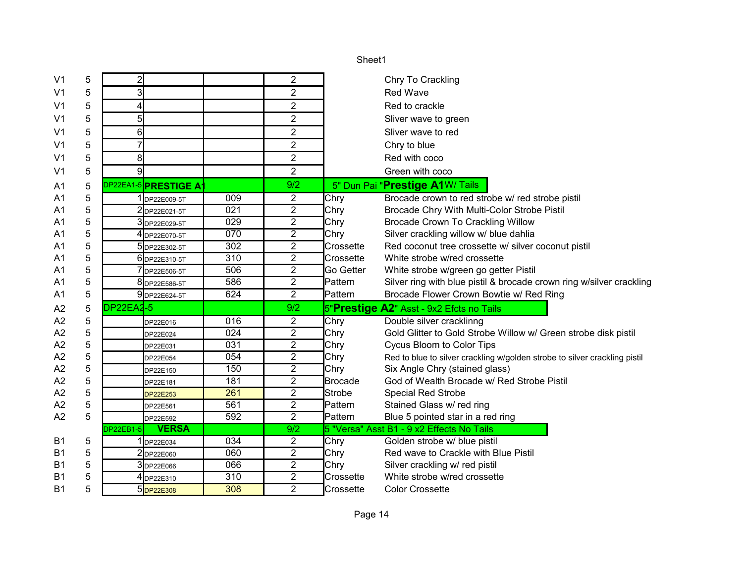| V <sub>1</sub> | 5 | $\overline{2}$            |     | $\overline{c}$   | Chry To Crackling                                                                  |  |
|----------------|---|---------------------------|-----|------------------|------------------------------------------------------------------------------------|--|
| V <sub>1</sub> | 5 | 3                         |     | $\overline{2}$   | <b>Red Wave</b>                                                                    |  |
| V <sub>1</sub> | 5 | 4                         |     | $\overline{2}$   | Red to crackle                                                                     |  |
| V <sub>1</sub> | 5 | 5                         |     | $\overline{2}$   | Sliver wave to green                                                               |  |
| V <sub>1</sub> | 5 | 6                         |     | $\overline{2}$   | Sliver wave to red                                                                 |  |
| V <sub>1</sub> | 5 | $\overline{7}$            |     | $\overline{2}$   | Chry to blue                                                                       |  |
| V <sub>1</sub> | 5 | 8                         |     | $\overline{2}$   | Red with coco                                                                      |  |
| V <sub>1</sub> | 5 | 9                         |     | $\overline{2}$   | Green with coco                                                                    |  |
| A1             | 5 | DP22EA1-5 PRESTIGE A      |     | 9/2              | 5" Dun Pai "Prestige A1W/ Tails                                                    |  |
| A1             | 5 | DP22E009-5T               | 009 | $\overline{2}$   | Brocade crown to red strobe w/ red strobe pistil<br>Chry                           |  |
| A1             | 5 | 2DP22E021-5T              | 021 | $\overline{2}$   | Chry<br>Brocade Chry With Multi-Color Strobe Pistil                                |  |
| A1             | 5 | 3DP22E029-5T              | 029 | $\overline{2}$   | Chry<br>Brocade Crown To Crackling Willow                                          |  |
| A1             | 5 | 4 DP22E070-5T             | 070 | $\overline{2}$   | Chry<br>Silver crackling willow w/ blue dahlia                                     |  |
| A1             | 5 | 5 DP22E302-5T             | 302 | $\overline{2}$   | Crossette<br>Red coconut tree crossette w/ silver coconut pistil                   |  |
| A1             | 5 | 6 DP22E310-5T             | 310 | $\overline{2}$   | Crossette<br>White strobe w/red crossette                                          |  |
| A1             | 5 | 7 DP22E506-5T             | 506 | $\overline{2}$   | Go Getter<br>White strobe w/green go getter Pistil                                 |  |
| A <sub>1</sub> | 5 | 8 DP22E586-5T             | 586 | $\overline{2}$   | Silver ring with blue pistil & brocade crown ring w/silver crackling<br>Pattern    |  |
| A1             | 5 | 9 DP22E624-5T             | 624 | $\overline{2}$   | Brocade Flower Crown Bowtie w/ Red Ring<br>Pattern                                 |  |
| A <sub>2</sub> | 5 | DP22EA2-5                 |     | 9/2              | 5"Prestige A2" Asst - 9x2 Efcts no Tails                                           |  |
| A <sub>2</sub> | 5 | DP22E016                  | 016 | $\overline{c}$   | Chry<br>Double silver cracklinng                                                   |  |
| A2             | 5 | DP22E024                  | 024 | $\overline{2}$   | Gold Glitter to Gold Strobe Willow w/ Green strobe disk pistil<br>Chry             |  |
| A <sub>2</sub> | 5 | DP22E031                  | 031 | $\overline{2}$   | Chry<br>Cycus Bloom to Color Tips                                                  |  |
| A <sub>2</sub> | 5 | DP22E054                  | 054 | $\overline{2}$   | Chry<br>Red to blue to silver crackling w/golden strobe to silver crackling pistil |  |
| A2             | 5 | DP22E150                  | 150 | $\overline{2}$   | Chry<br>Six Angle Chry (stained glass)                                             |  |
| A <sub>2</sub> | 5 | DP22E181                  | 181 | $\overline{2}$   | <b>Brocade</b><br>God of Wealth Brocade w/ Red Strobe Pistil                       |  |
| A2             | 5 | DP22E253                  | 261 | $\overline{2}$   | Strobe<br><b>Special Red Strobe</b>                                                |  |
| A <sub>2</sub> | 5 | DP22E561                  | 561 | $\overline{2}$   | Stained Glass w/ red ring<br>Pattern                                               |  |
| A <sub>2</sub> | 5 | DP22E592                  | 592 | $\overline{2}$   | Pattern<br>Blue 5 pointed star in a red ring                                       |  |
|                |   | <b>VERSA</b><br>DP22EB1-5 |     | $\overline{9/2}$ | 5 "Versa" Asst B1 - 9 x2 Effects No Tails                                          |  |
| B <sub>1</sub> | 5 | 1 DP22E034                | 034 | $\overline{2}$   | Chry<br>Golden strobe w/ blue pistil                                               |  |
| <b>B1</b>      | 5 | 2DP22E060                 | 060 | $\overline{2}$   | Chry<br>Red wave to Crackle with Blue Pistil                                       |  |
| <b>B1</b>      | 5 | 3 DP22E066                | 066 | $\overline{2}$   | Chry<br>Silver crackling w/ red pistil                                             |  |
| B <sub>1</sub> | 5 | 4 DP22E310                | 310 | $\overline{2}$   | White strobe w/red crossette<br>Crossette                                          |  |
| <b>B1</b>      | 5 | 5DP22E308                 | 308 | $\overline{2}$   | <b>Color Crossette</b><br>Crossette                                                |  |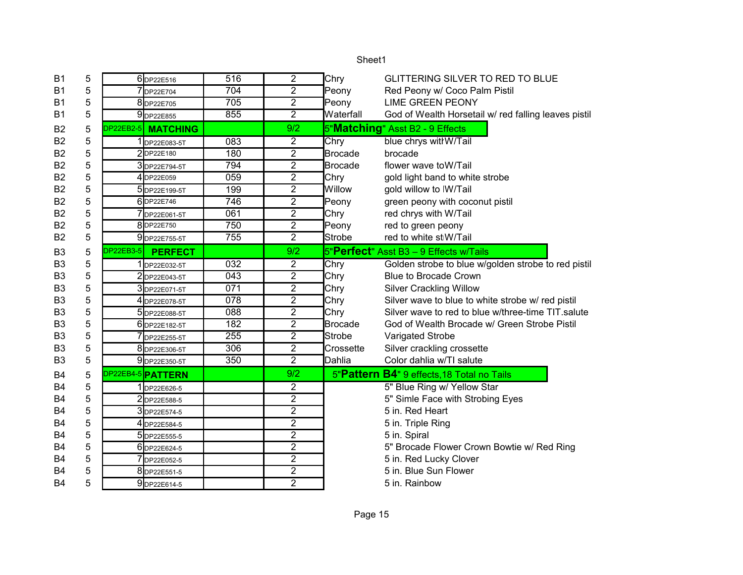| <b>B1</b>      | 5 | 6 DP22E516                  | 516              | 2              | Chry           | GLITTERING SILVER TO RED TO BLUE                     |
|----------------|---|-----------------------------|------------------|----------------|----------------|------------------------------------------------------|
| <b>B1</b>      | 5 | 7DP22E704                   | 704              | $\overline{2}$ | Peony          | Red Peony w/ Coco Palm Pistil                        |
| <b>B1</b>      | 5 | 8DP22E705                   | 705              | $\overline{2}$ | Peony          | <b>LIME GREEN PEONY</b>                              |
| <b>B1</b>      | 5 | 9DP22E855                   | 855              | $\overline{2}$ | Waterfall      | God of Wealth Horsetail w/ red falling leaves pistil |
| B2             | 5 | DP22EB2-5 MATCHING          |                  | 9/2            |                | 5"Matching" Asst B2 - 9 Effects                      |
| B <sub>2</sub> | 5 | 1DP22E083-5T                | 083              | $\overline{2}$ | Chry           | blue chrys with W/Tail                               |
| <b>B2</b>      | 5 | 2DP22E180                   | 180              | $\overline{2}$ | <b>Brocade</b> | brocade                                              |
| B <sub>2</sub> | 5 | 3DP22E794-5T                | 794              | 2              | <b>Brocade</b> | flower wave toW/Tail                                 |
| B <sub>2</sub> | 5 | 4DP22E059                   | 059              | 2              | Chry           | gold light band to white strobe                      |
| B <sub>2</sub> | 5 | 5DP22E199-5T                | 199              | $\overline{2}$ | Willow         | gold willow to IW/Tail                               |
| B <sub>2</sub> | 5 | 6DP22E746                   | 746              | $\overline{2}$ | Peony          | green peony with coconut pistil                      |
| <b>B2</b>      | 5 | 7DP22E061-5T                | 061              | $\overline{2}$ | Chry           | red chrys with W/Tail                                |
| <b>B2</b>      | 5 | 8DP22E750                   | 750              | 2              | Peony          | red to green peony                                   |
| <b>B2</b>      | 5 | 9DP22E755-5T                | 755              | $\overline{2}$ | Strobe         | red to white stW/Tail                                |
| B <sub>3</sub> | 5 | DP22EB3-5<br><b>PERFECT</b> |                  | 9/2            |                | 5"Perfect" Asst B3 - 9 Effects w/Tails               |
| B <sub>3</sub> | 5 | 1 DP22E032-5T               | $\overline{032}$ | 2              | Chry           | Golden strobe to blue w/golden strobe to red pistil  |
| B <sub>3</sub> | 5 | 2DP22E043-5T                | 043              | $\overline{2}$ | Chry           | <b>Blue to Brocade Crown</b>                         |
| B <sub>3</sub> | 5 | 3DP22E071-5T                | 071              | $\overline{2}$ | Chry           | <b>Silver Crackling Willow</b>                       |
| B <sub>3</sub> | 5 | 4 DP22E078-5T               | 078              | $\overline{2}$ | Chry           | Silver wave to blue to white strobe w/ red pistil    |
| B <sub>3</sub> | 5 | 5 DP22E088-5T               | 088              | 2              | Chry           | Silver wave to red to blue w/three-time TIT.salute   |
| B <sub>3</sub> | 5 | 6 DP22E182-5T               | 182              | 2              | Brocade        | God of Wealth Brocade w/ Green Strobe Pistil         |
| B <sub>3</sub> | 5 | 7DP22E255-5T                | 255              | $\overline{2}$ | Strobe         | Varigated Strobe                                     |
| B <sub>3</sub> | 5 | 8 DP22E306-5T               | 306              | 2              | Crossette      | Silver crackling crossette                           |
| B <sub>3</sub> | 5 | 9 DP22E350-5T               | 350              | $\overline{2}$ | Dahlia         | Color dahlia w/TI salute                             |
| <b>B4</b>      | 5 | DP22EB4-5 PATTERN           |                  | 9/2            |                | 5"Pattern B4" 9 effects, 18 Total no Tails           |
| <b>B4</b>      | 5 | 1DP22E626-5                 |                  | 2              |                | 5" Blue Ring w/ Yellow Star                          |
| <b>B4</b>      | 5 | 2DP22E588-5                 |                  | $\overline{2}$ |                | 5" Simle Face with Strobing Eyes                     |
| B4             | 5 | 3DP22E574-5                 |                  | $\overline{2}$ |                | 5 in. Red Heart                                      |
| <b>B4</b>      | 5 | 4 DP22E584-5                |                  | $\overline{2}$ |                | 5 in. Triple Ring                                    |
| <b>B4</b>      | 5 | 5 DP22E555-5                |                  | $\overline{2}$ |                | 5 in. Spiral                                         |
| B4             | 5 | 6 DP22E624-5                |                  | $\overline{2}$ |                | 5" Brocade Flower Crown Bowtie w/ Red Ring           |
| B4             | 5 | 7 DP22E052-5                |                  | $\overline{2}$ |                | 5 in. Red Lucky Clover                               |
| <b>B4</b>      | 5 | 8 DP22E551-5                |                  | $\overline{2}$ |                | 5 in. Blue Sun Flower                                |
| B4             | 5 | 9DP22E614-5                 |                  | $\overline{2}$ |                | 5 in. Rainbow                                        |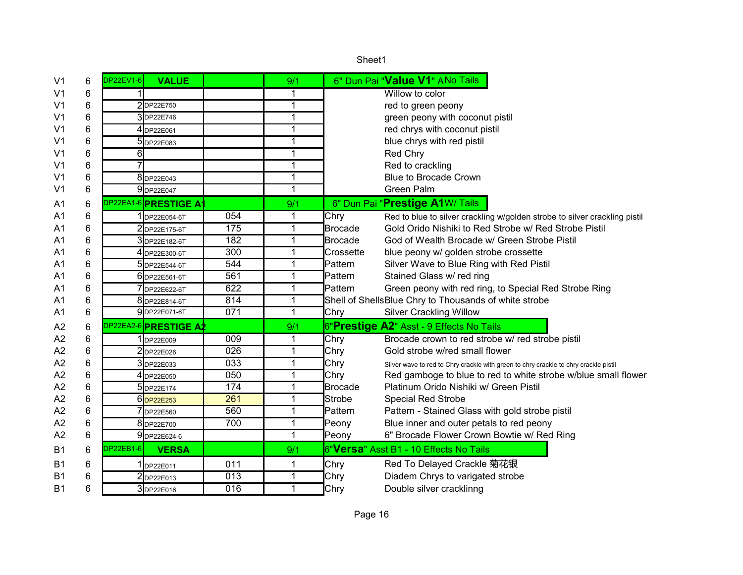|                |   |                  |                               |     |                | Sheet1                                                                                       |
|----------------|---|------------------|-------------------------------|-----|----------------|----------------------------------------------------------------------------------------------|
| V <sub>1</sub> | 6 | <b>DP22EV1-6</b> | <b>VALUE</b>                  |     | 9/1            | 6" Dun Pai "Value V1" ANo Tails                                                              |
| V <sub>1</sub> | 6 |                  |                               |     | 1              | Willow to color                                                                              |
| V <sub>1</sub> | 6 |                  | 2DP22E750                     |     | $\overline{1}$ | red to green peony                                                                           |
| V <sub>1</sub> | 6 |                  | 3DP22E746                     |     | $\mathbf{1}$   | green peony with coconut pistil                                                              |
| V <sub>1</sub> | 6 |                  | 4 DP22E061                    |     | $\overline{1}$ | red chrys with coconut pistil                                                                |
| V <sub>1</sub> | 6 |                  | 5 DP22E083                    |     | 1              | blue chrys with red pistil                                                                   |
| V <sub>1</sub> | 6 | 6                |                               |     | 1              | Red Chry                                                                                     |
| V <sub>1</sub> | 6 |                  |                               |     | $\mathbf{1}$   | Red to crackling                                                                             |
| V <sub>1</sub> | 6 |                  | 8DP22E043                     |     | 1              | <b>Blue to Brocade Crown</b>                                                                 |
| V <sub>1</sub> | 6 |                  | 9DP22E047                     |     | $\mathbf{1}$   | Green Palm                                                                                   |
| A <sub>1</sub> | 6 |                  | DP22EA1-6 <b>PRESTIGE A</b> 1 |     | 9/1            | 6" Dun Pai "Prestige A1W/ Tails                                                              |
| A <sub>1</sub> | 6 |                  | 1 DP22E054-6T                 | 054 | 1              | Chry<br>Red to blue to silver crackling w/golden strobe to silver crackling pistil           |
| A <sub>1</sub> | 6 |                  | 2DP22E175-6T                  | 175 | $\mathbf{1}$   | <b>Brocade</b><br>Gold Orido Nishiki to Red Strobe w/ Red Strobe Pistil                      |
| A1             | 6 |                  | 3DP22E182-6T                  | 182 | $\mathbf{1}$   | <b>Brocade</b><br>God of Wealth Brocade w/ Green Strobe Pistil                               |
| A1             | 6 |                  | 4 DP22E300-6T                 | 300 | $\mathbf{1}$   | Crossette<br>blue peony w/ golden strobe crossette                                           |
| A <sub>1</sub> | 6 |                  | 5 DP22E544-6T                 | 544 | $\mathbf{1}$   | Pattern<br>Silver Wave to Blue Ring with Red Pistil                                          |
| A <sub>1</sub> | 6 |                  | 6 DP22E561-6T                 | 561 | $\mathbf{1}$   | Pattern<br>Stained Glass w/ red ring                                                         |
| A1             | 6 |                  | DP22E622-6T                   | 622 | $\overline{1}$ | Pattern<br>Green peony with red ring, to Special Red Strobe Ring                             |
| A <sub>1</sub> | 6 |                  | 8 DP22E814-6T                 | 814 | $\mathbf{1}$   | Shell of Shells Blue Chry to Thousands of white strobe                                       |
| A <sub>1</sub> | 6 |                  | 9DP22E071-6T                  | 071 | $\mathbf{1}$   | Chry<br><b>Silver Crackling Willow</b>                                                       |
| A2             | 6 |                  | DP22EA2-6 <b>PRESTIGE A2</b>  |     | 9/1            | 6"Prestige A2" Asst - 9 Effects No Tails                                                     |
| A <sub>2</sub> | 6 |                  | 1 DP22E009                    | 009 | 1              | Brocade crown to red strobe w/ red strobe pistil<br>Chry                                     |
| A2             | 6 |                  | 2DP22E026                     | 026 | $\mathbf{1}$   | Chry<br>Gold strobe w/red small flower                                                       |
| A2             | 6 |                  | 3DP22E033                     | 033 | $\mathbf{1}$   | Chry<br>Silver wave to red to Chry crackle with green to chry crackle to chry crackle pistil |
| A2             | 6 |                  | 4 DP22E050                    | 050 | $\mathbf{1}$   | Chry<br>Red gamboge to blue to red to white strobe w/blue small flower                       |
| A2             | 6 |                  | 5DP22E174                     | 174 | 1              | Brocade<br>Platinum Orido Nishiki w/ Green Pistil                                            |
| A2             | 6 |                  | 6DP22E253                     | 261 | 1              | Strobe<br><b>Special Red Strobe</b>                                                          |
| A2             | 6 |                  | 7 DP22E560                    | 560 | $\mathbf{1}$   | Pattern<br>Pattern - Stained Glass with gold strobe pistil                                   |
| A2             | 6 |                  | 8DP22E700                     | 700 | $\mathbf{1}$   | Blue inner and outer petals to red peony<br>Peony                                            |
| A2             | 6 |                  | 9 DP22E624-6                  |     | $\mathbf{1}$   | 6" Brocade Flower Crown Bowtie w/ Red Ring<br>Peony                                          |
| <b>B1</b>      | 6 | DP22EB1-6        | <b>VERSA</b>                  |     | 9/1            | 6"Versa" Asst B1 - 10 Effects No Tails                                                       |
| B <sub>1</sub> | 6 |                  | DP22E011                      | 011 | 1              | Red To Delayed Crackle 菊花银<br>Chry                                                           |
| <b>B1</b>      | 6 |                  | 2DP22E013                     | 013 | 1              | Diadem Chrys to varigated strobe<br>Chry                                                     |
| <b>B1</b>      | 6 |                  | 3DP22E016                     | 016 | $\mathbf 1$    | Chry<br>Double silver cracklinng                                                             |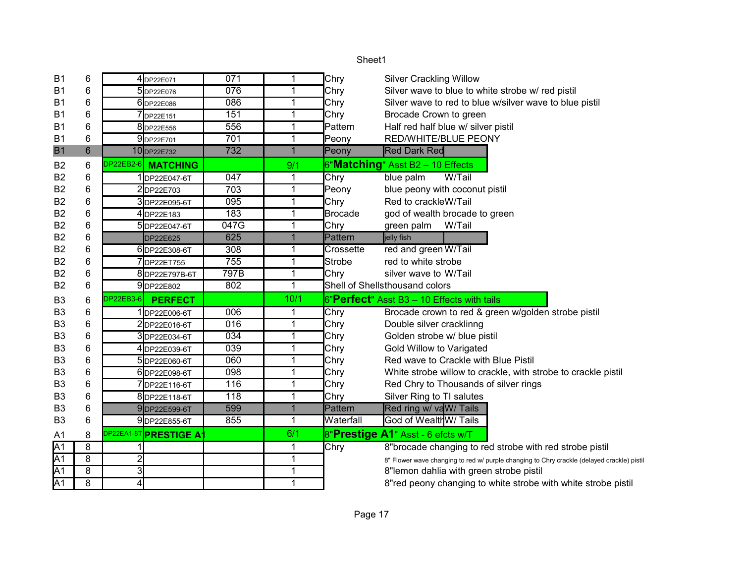| B <sub>1</sub>  | 6              |                | 4 DP22E071                   | 071              | 1              | Chry           | <b>Silver Crackling Willow</b>                                                             |
|-----------------|----------------|----------------|------------------------------|------------------|----------------|----------------|--------------------------------------------------------------------------------------------|
| <b>B1</b>       | 6              |                | 5 DP22E076                   | $\overline{076}$ | $\mathbf 1$    | Chry           | Silver wave to blue to white strobe w/ red pistil                                          |
| <b>B1</b>       | 6              |                | 6 DP22E086                   | 086              | $\mathbf{1}$   | Chry           | Silver wave to red to blue w/silver wave to blue pistil                                    |
| B <sub>1</sub>  | 6              |                | DP22E151                     | 151              | $\mathbf 1$    | Chry           | Brocade Crown to green                                                                     |
| B <sub>1</sub>  | 6              |                | 8 DP22E556                   | 556              | $\mathbf{1}$   | Pattern        | Half red half blue w/ silver pistil                                                        |
| <b>B1</b>       | 6              |                | 9DP22E701                    | 701              | $\mathbf 1$    | Peony          | RED/WHITE/BLUE PEONY                                                                       |
| <b>B1</b>       | $6\phantom{1}$ |                | 10 DP22E732                  | 732              | $\overline{1}$ | Peony          | <b>Red Dark Red</b>                                                                        |
| B <sub>2</sub>  | 6              | DP22EB2-6      | <b>MATCHING</b>              |                  | 9/1            |                | 6"Matching" Asst B2 - 10 Effects                                                           |
| B <sub>2</sub>  | 6              |                | 1DP22E047-6T                 | 047              | 1              | Chry           | blue palm<br>W/Tail                                                                        |
| <b>B2</b>       | 6              |                | 2DP22E703                    | 703              | 1              | Peony          | blue peony with coconut pistil                                                             |
| <b>B2</b>       | 6              |                | 3DP22E095-6T                 | 095              | $\mathbf 1$    | Chry           | Red to crackleW/Tail                                                                       |
| B <sub>2</sub>  | 6              |                | 4DP22E183                    | 183              | 1              | <b>Brocade</b> | god of wealth brocade to green                                                             |
| <b>B2</b>       | 6              |                | 5DP22E047-6T                 | 047G             | $\mathbf{1}$   | Chry           | W/Tail<br>green palm                                                                       |
| <b>B2</b>       | 6              |                | <b>DP22E625</b>              | 625              | $\mathbf{1}$   | Pattern        | jelly fish                                                                                 |
| <b>B2</b>       | 6              |                | 6DP22E308-6T                 | 308              | $\mathbf{1}$   | Crossette      | red and green W/Tail                                                                       |
| B <sub>2</sub>  | 6              |                | 7DP22ET755                   | 755              | $\mathbf{1}$   | Strobe         | red to white strobe                                                                        |
| <b>B2</b>       | 6              |                | 8DP22E797B-6T                | 797B             | $\mathbf 1$    | Chry           | silver wave to W/Tail                                                                      |
| B <sub>2</sub>  | 6              |                | 9DP22E802                    | 802              | $\overline{1}$ |                | Shell of Shellsthousand colors                                                             |
| B <sub>3</sub>  | 6              | DP22EB3-6      | <b>PERFECT</b>               |                  | 10/1           |                | 6"Perfect" Asst B3 - 10 Effects with tails                                                 |
| B <sub>3</sub>  | 6              |                | 1DP22E006-6T                 | 006              | 1              | Chry           | Brocade crown to red & green w/golden strobe pistil                                        |
| B <sub>3</sub>  | 6              |                | 2DP22E016-6T                 | 016              | 1              | Chry           | Double silver cracklinng                                                                   |
| B <sub>3</sub>  | 6              |                | 3DP22E034-6T                 | 034              | $\mathbf 1$    | Chry           | Golden strobe w/ blue pistil                                                               |
| B <sub>3</sub>  | 6              |                | 4DP22E039-6T                 | 039              | $\mathbf 1$    | Chry           | Gold Willow to Varigated                                                                   |
| B <sub>3</sub>  | 6              |                | 5DP22E060-6T                 | 060              | $\mathbf 1$    | Chry           | Red wave to Crackle with Blue Pistil                                                       |
| B <sub>3</sub>  | 6              |                | 6DP22E098-6T                 | 098              | 1              | Chry           | White strobe willow to crackle, with strobe to crackle pistil                              |
| B <sub>3</sub>  | 6              |                | 7DP22E116-6T                 | 116              | $\mathbf{1}$   | Chry           | Red Chry to Thousands of silver rings                                                      |
| B <sub>3</sub>  | 6              |                | 8DP22E118-6T                 | 118              | $\mathbf{1}$   | Chry           | Silver Ring to TI salutes                                                                  |
| B <sub>3</sub>  | 6              |                | 9DP22E599-6T                 | 599              | $\overline{1}$ | Pattern        | Red ring w/ vaW/ Tails                                                                     |
| B <sub>3</sub>  | 6              |                | 9DP22E855-6T                 | 855              | $\mathbf{1}$   | Waterfall      | God of Wealth W/ Tails                                                                     |
| A <sub>1</sub>  | 8              |                | DP22EA1-8T <b>PRESTIGE A</b> |                  | 6/1            |                | 8"Prestige A1" Asst - 6 efcts w/T                                                          |
| $\overline{A1}$ | 8              |                |                              |                  | 1              | Chry           | 8"brocade changing to red strobe with red strobe pistil                                    |
| $\overline{A1}$ | 8              | $\overline{c}$ |                              |                  | 1              |                | 8" Flower wave changing to red w/ purple changing to Chry crackle (delayed crackle) pistil |
| $\overline{A1}$ | 8              | $\overline{3}$ |                              |                  | $\mathbf 1$    |                | 8"lemon dahlia with green strobe pistil                                                    |
| $\overline{A1}$ | 8              | $\overline{4}$ |                              |                  | 1              |                | 8"red peony changing to white strobe with white strobe pistil                              |